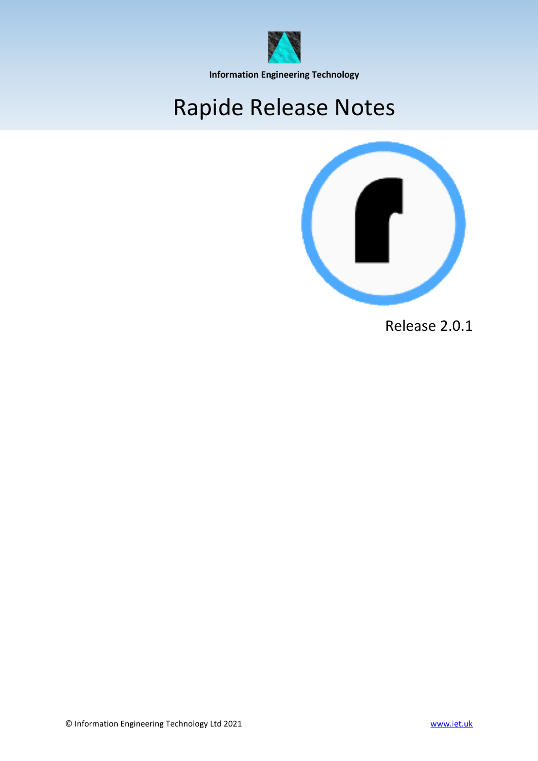

**Information Engineering Technology**

## Rapide Release Notes



Release 2.0.1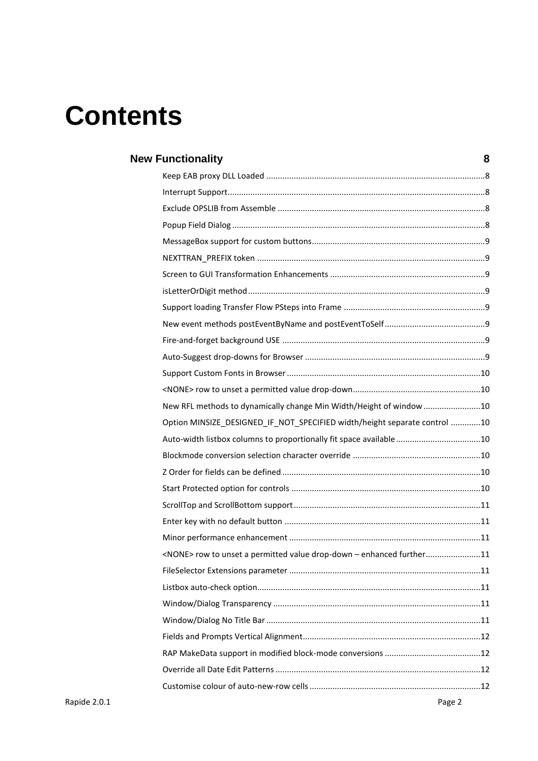# **Contents**

| <b>New Functionality</b>                                                    | 8 |
|-----------------------------------------------------------------------------|---|
|                                                                             |   |
|                                                                             |   |
|                                                                             |   |
|                                                                             |   |
|                                                                             |   |
|                                                                             |   |
|                                                                             |   |
|                                                                             |   |
|                                                                             |   |
|                                                                             |   |
|                                                                             |   |
|                                                                             |   |
|                                                                             |   |
|                                                                             |   |
| New RFL methods to dynamically change Min Width/Height of window 10         |   |
| Option MINSIZE_DESIGNED_IF_NOT_SPECIFIED width/height separate control 10   |   |
| Auto-width listbox columns to proportionally fit space available 10         |   |
|                                                                             |   |
|                                                                             |   |
|                                                                             |   |
|                                                                             |   |
|                                                                             |   |
|                                                                             |   |
| <none> row to unset a permitted value drop-down - enhanced further11</none> |   |
|                                                                             |   |
|                                                                             |   |
|                                                                             |   |
|                                                                             |   |
|                                                                             |   |
|                                                                             |   |
|                                                                             |   |
|                                                                             |   |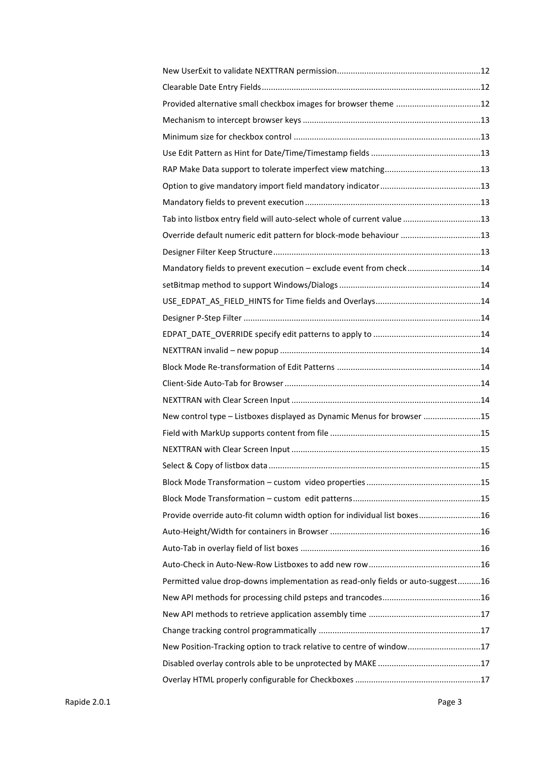| Tab into listbox entry field will auto-select whole of current value 13         |  |
|---------------------------------------------------------------------------------|--|
| Override default numeric edit pattern for block-mode behaviour 13               |  |
|                                                                                 |  |
| Mandatory fields to prevent execution - exclude event from check14              |  |
|                                                                                 |  |
|                                                                                 |  |
|                                                                                 |  |
|                                                                                 |  |
|                                                                                 |  |
|                                                                                 |  |
|                                                                                 |  |
|                                                                                 |  |
| New control type - Listboxes displayed as Dynamic Menus for browser 15          |  |
|                                                                                 |  |
|                                                                                 |  |
|                                                                                 |  |
|                                                                                 |  |
|                                                                                 |  |
| Provide override auto-fit column width option for individual list boxes16       |  |
|                                                                                 |  |
|                                                                                 |  |
|                                                                                 |  |
| Permitted value drop-downs implementation as read-only fields or auto-suggest16 |  |
|                                                                                 |  |
|                                                                                 |  |
|                                                                                 |  |
| New Position-Tracking option to track relative to centre of window17            |  |
|                                                                                 |  |
|                                                                                 |  |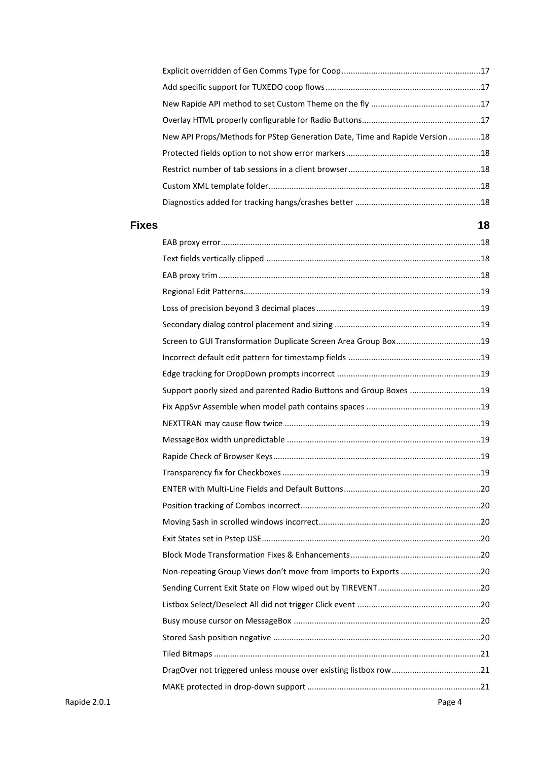|              | New API Props/Methods for PStep Generation Date, Time and Rapide Version 18 |        |
|--------------|-----------------------------------------------------------------------------|--------|
|              |                                                                             |        |
|              |                                                                             |        |
|              |                                                                             |        |
|              |                                                                             |        |
| <b>Fixes</b> |                                                                             | 18     |
|              |                                                                             |        |
|              |                                                                             |        |
|              |                                                                             |        |
|              |                                                                             |        |
|              |                                                                             |        |
|              |                                                                             |        |
|              |                                                                             |        |
|              |                                                                             |        |
|              |                                                                             |        |
|              | Support poorly sized and parented Radio Buttons and Group Boxes 19          |        |
|              |                                                                             |        |
|              |                                                                             |        |
|              |                                                                             |        |
|              |                                                                             |        |
|              |                                                                             |        |
|              |                                                                             |        |
|              |                                                                             |        |
|              |                                                                             |        |
|              |                                                                             |        |
|              |                                                                             |        |
|              | Non-repeating Group Views don't move from Imports to Exports 20             |        |
|              |                                                                             |        |
|              |                                                                             |        |
|              |                                                                             |        |
|              |                                                                             |        |
|              |                                                                             |        |
|              |                                                                             |        |
|              |                                                                             |        |
| Rapide 2.0.1 |                                                                             | Page 4 |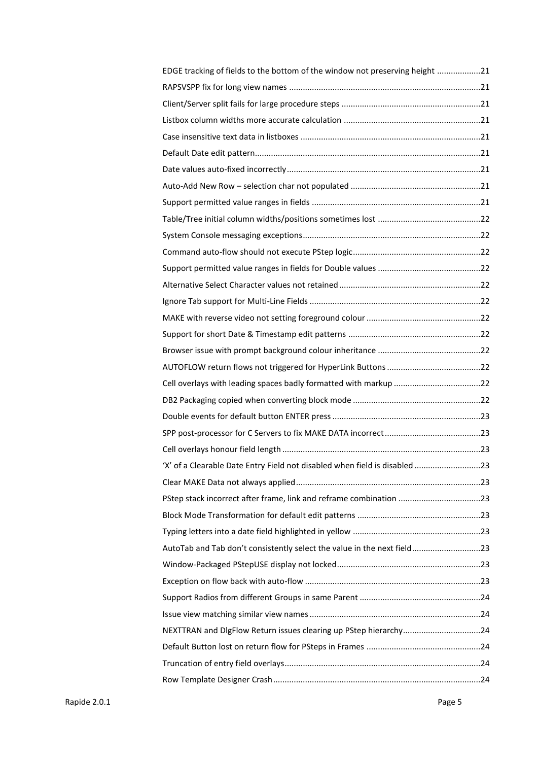| EDGE tracking of fields to the bottom of the window not preserving height 21 |  |
|------------------------------------------------------------------------------|--|
|                                                                              |  |
|                                                                              |  |
|                                                                              |  |
|                                                                              |  |
|                                                                              |  |
|                                                                              |  |
|                                                                              |  |
|                                                                              |  |
|                                                                              |  |
|                                                                              |  |
|                                                                              |  |
|                                                                              |  |
|                                                                              |  |
|                                                                              |  |
|                                                                              |  |
|                                                                              |  |
|                                                                              |  |
|                                                                              |  |
|                                                                              |  |
|                                                                              |  |
|                                                                              |  |
|                                                                              |  |
|                                                                              |  |
| 'X' of a Clearable Date Entry Field not disabled when field is disabled 23   |  |
|                                                                              |  |
| PStep stack incorrect after frame, link and reframe combination 23           |  |
|                                                                              |  |
|                                                                              |  |
| AutoTab and Tab don't consistently select the value in the next field23      |  |
|                                                                              |  |
|                                                                              |  |
|                                                                              |  |
|                                                                              |  |
| NEXTTRAN and DIgFlow Return issues clearing up PStep hierarchy24             |  |
|                                                                              |  |
|                                                                              |  |
|                                                                              |  |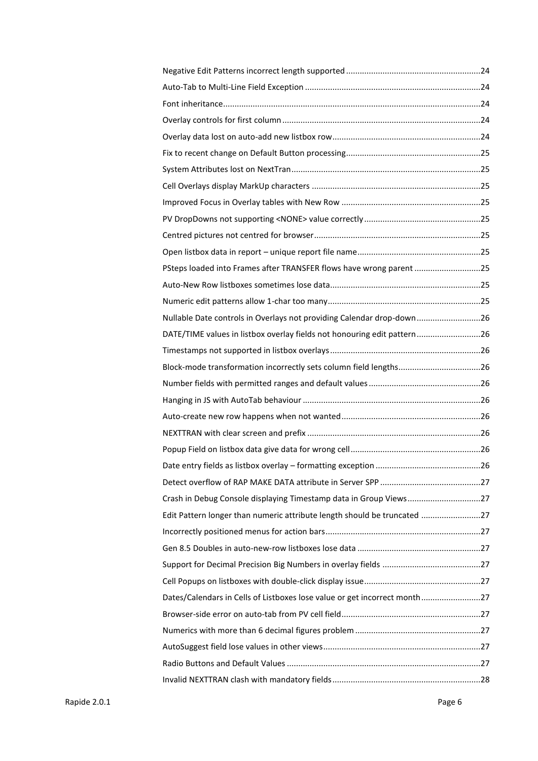| PSteps loaded into Frames after TRANSFER flows have wrong parent 25       |  |
|---------------------------------------------------------------------------|--|
|                                                                           |  |
|                                                                           |  |
| Nullable Date controls in Overlays not providing Calendar drop-down26     |  |
| DATE/TIME values in listbox overlay fields not honouring edit pattern26   |  |
|                                                                           |  |
| Block-mode transformation incorrectly sets column field lengths26         |  |
|                                                                           |  |
|                                                                           |  |
|                                                                           |  |
|                                                                           |  |
|                                                                           |  |
|                                                                           |  |
|                                                                           |  |
| Crash in Debug Console displaying Timestamp data in Group Views27         |  |
| Edit Pattern longer than numeric attribute length should be truncated 27  |  |
|                                                                           |  |
|                                                                           |  |
|                                                                           |  |
|                                                                           |  |
| Dates/Calendars in Cells of Listboxes lose value or get incorrect month27 |  |
|                                                                           |  |
|                                                                           |  |
|                                                                           |  |
|                                                                           |  |
|                                                                           |  |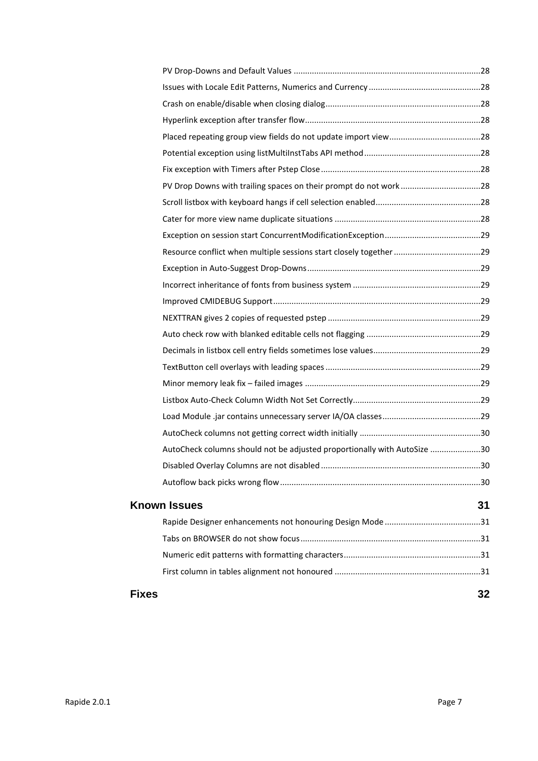| Fixes |                                                                          | 32  |
|-------|--------------------------------------------------------------------------|-----|
|       |                                                                          |     |
|       |                                                                          |     |
|       |                                                                          |     |
|       |                                                                          |     |
|       | <b>Known Issues</b>                                                      | 31  |
|       |                                                                          |     |
|       |                                                                          | .30 |
|       | AutoCheck columns should not be adjusted proportionally with AutoSize 30 |     |
|       |                                                                          |     |
|       |                                                                          |     |
|       |                                                                          |     |
|       |                                                                          |     |
|       |                                                                          |     |
|       |                                                                          |     |
|       |                                                                          |     |
|       |                                                                          |     |
|       |                                                                          |     |
|       |                                                                          |     |
|       |                                                                          |     |
|       |                                                                          |     |
|       |                                                                          |     |
|       |                                                                          |     |
|       |                                                                          |     |
|       |                                                                          |     |
|       |                                                                          |     |
|       |                                                                          |     |
|       |                                                                          |     |
|       |                                                                          |     |
|       |                                                                          |     |
|       |                                                                          |     |
|       |                                                                          |     |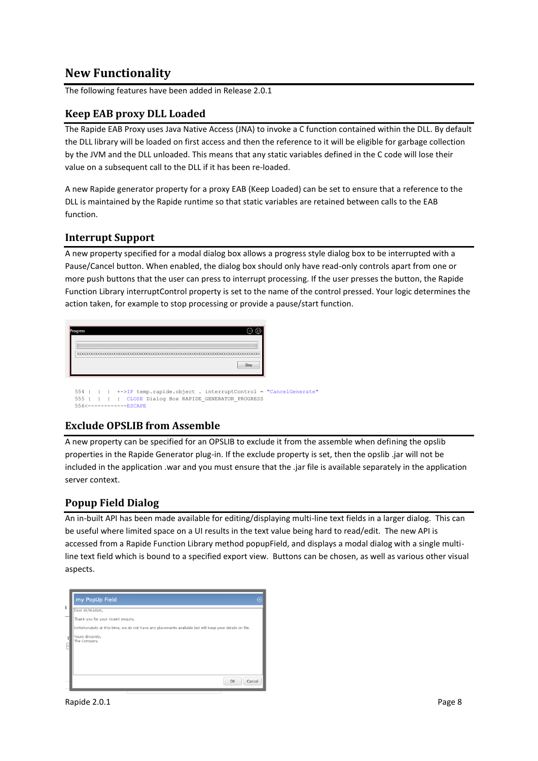## <span id="page-7-0"></span>**New Functionality**

The following features have been added in Release 2.0.1

## <span id="page-7-1"></span>**Keep EAB proxy DLL Loaded**

The Rapide EAB Proxy uses Java Native Access (JNA) to invoke a C function contained within the DLL. By default the DLL library will be loaded on first access and then the reference to it will be eligible for garbage collection by the JVM and the DLL unloaded. This means that any static variables defined in the C code will lose their value on a subsequent call to the DLL if it has been re-loaded.

A new Rapide generator property for a proxy EAB (Keep Loaded) can be set to ensure that a reference to the DLL is maintained by the Rapide runtime so that static variables are retained between calls to the EAB function.

#### <span id="page-7-2"></span>**Interrupt Support**

A new property specified for a modal dialog box allows a progress style dialog box to be interrupted with a Pause/Cancel button. When enabled, the dialog box should only have read-only controls apart from one or more push buttons that the user can press to interrupt processing. If the user presses the button, the Rapide Function Library interruptControl property is set to the name of the control pressed. Your logic determines the action taken, for example to stop processing or provide a pause/start function.

| Stop | <b>Progress</b> |  |  |  | (一) (回) |  |
|------|-----------------|--|--|--|---------|--|
|      |                 |  |  |  |         |  |
|      |                 |  |  |  |         |  |
|      |                 |  |  |  |         |  |

555 | | | | CLOSE Dialog Box RAPIDE GENERATOR PROGRESS --ESCAPE

## <span id="page-7-3"></span>**Exclude OPSLIB from Assemble**

A new property can be specified for an OPSLIB to exclude it from the assemble when defining the opslib properties in the Rapide Generator plug-in. If the exclude property is set, then the opslib .jar will not be included in the application .war and you must ensure that the .jar file is available separately in the application server context.

## <span id="page-7-4"></span>**Popup Field Dialog**

An in-built API has been made available for editing/displaying multi-line text fields in a larger dialog. This can be useful where limited space on a UI results in the text value being hard to read/edit. The new API is accessed from a Rapide Function Library method popupField, and displays a modal dialog with a single multiline text field which is bound to a specified export view. Buttons can be chosen, as well as various other visual aspects.

|   | my PopUp Field                                                                                          |  |
|---|---------------------------------------------------------------------------------------------------------|--|
| đ | Dear sir/madam,                                                                                         |  |
|   | Thank-you for your recent enquiry.                                                                      |  |
|   | Unfortunately at this time, we do not have any placements available but will keep your details on file. |  |
|   | Yours sincerely,<br>The Company                                                                         |  |
|   |                                                                                                         |  |
|   | OK<br>Cancel                                                                                            |  |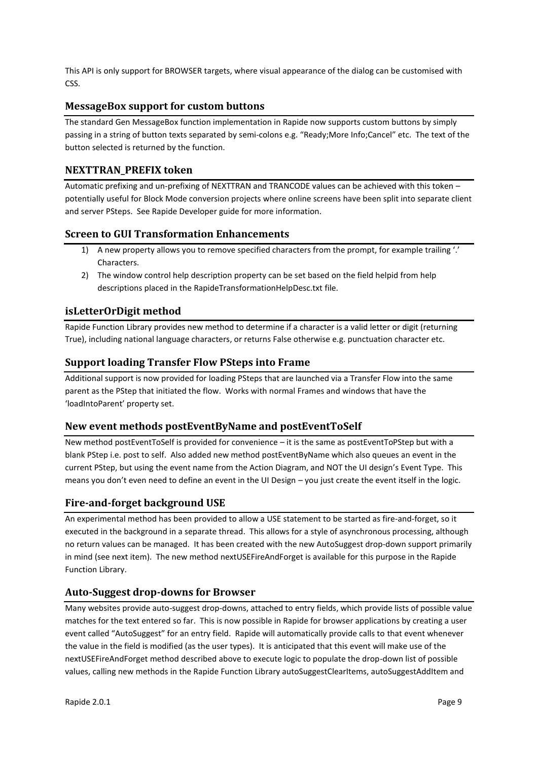This API is only support for BROWSER targets, where visual appearance of the dialog can be customised with CSS.

## <span id="page-8-0"></span>**MessageBox support for custom buttons**

The standard Gen MessageBox function implementation in Rapide now supports custom buttons by simply passing in a string of button texts separated by semi-colons e.g. "Ready;More Info;Cancel" etc. The text of the button selected is returned by the function.

## <span id="page-8-1"></span>**NEXTTRAN\_PREFIX token**

Automatic prefixing and un-prefixing of NEXTTRAN and TRANCODE values can be achieved with this token – potentially useful for Block Mode conversion projects where online screens have been split into separate client and server PSteps. See Rapide Developer guide for more information.

## <span id="page-8-2"></span>**Screen to GUI Transformation Enhancements**

- 1) A new property allows you to remove specified characters from the prompt, for example trailing '.' Characters.
- 2) The window control help description property can be set based on the field helpid from help descriptions placed in the RapideTransformationHelpDesc.txt file.

## <span id="page-8-3"></span>**isLetterOrDigit method**

Rapide Function Library provides new method to determine if a character is a valid letter or digit (returning True), including national language characters, or returns False otherwise e.g. punctuation character etc.

## <span id="page-8-4"></span>**Support loading Transfer Flow PSteps into Frame**

Additional support is now provided for loading PSteps that are launched via a Transfer Flow into the same parent as the PStep that initiated the flow. Works with normal Frames and windows that have the 'loadIntoParent' property set.

## <span id="page-8-5"></span>**New event methods postEventByName and postEventToSelf**

New method postEventToSelf is provided for convenience – it is the same as postEventToPStep but with a blank PStep i.e. post to self. Also added new method postEventByName which also queues an event in the current PStep, but using the event name from the Action Diagram, and NOT the UI design's Event Type. This means you don't even need to define an event in the UI Design – you just create the event itself in the logic.

## <span id="page-8-6"></span>**Fire-and-forget background USE**

An experimental method has been provided to allow a USE statement to be started as fire-and-forget, so it executed in the background in a separate thread. This allows for a style of asynchronous processing, although no return values can be managed. It has been created with the new AutoSuggest drop-down support primarily in mind (see next item). The new method nextUSEFireAndForget is available for this purpose in the Rapide Function Library.

## <span id="page-8-7"></span>**Auto-Suggest drop-downs for Browser**

Many websites provide auto-suggest drop-downs, attached to entry fields, which provide lists of possible value matches for the text entered so far. This is now possible in Rapide for browser applications by creating a user event called "AutoSuggest" for an entry field. Rapide will automatically provide calls to that event whenever the value in the field is modified (as the user types). It is anticipated that this event will make use of the nextUSEFireAndForget method described above to execute logic to populate the drop-down list of possible values, calling new methods in the Rapide Function Library autoSuggestClearItems, autoSuggestAddItem and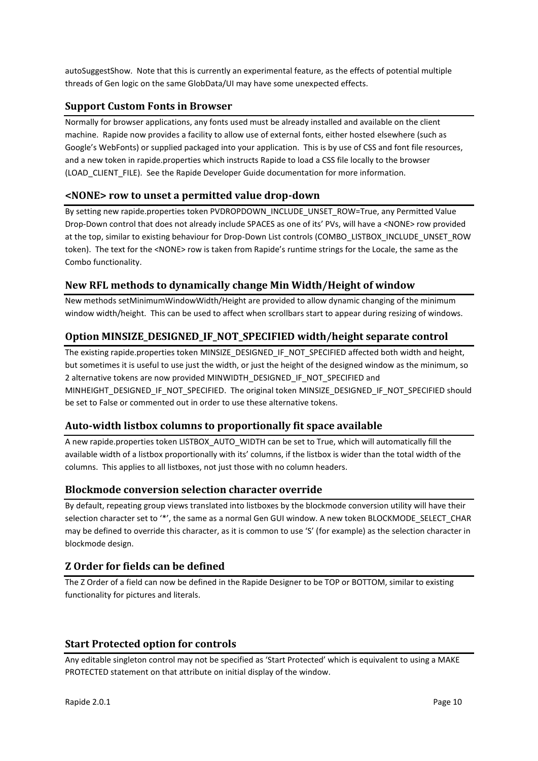autoSuggestShow. Note that this is currently an experimental feature, as the effects of potential multiple threads of Gen logic on the same GlobData/UI may have some unexpected effects.

## <span id="page-9-0"></span>**Support Custom Fonts in Browser**

Normally for browser applications, any fonts used must be already installed and available on the client machine. Rapide now provides a facility to allow use of external fonts, either hosted elsewhere (such as Google's WebFonts) or supplied packaged into your application. This is by use of CSS and font file resources, and a new token in rapide.properties which instructs Rapide to load a CSS file locally to the browser (LOAD\_CLIENT\_FILE). See the Rapide Developer Guide documentation for more information.

## <span id="page-9-1"></span>**<NONE> row to unset a permitted value drop-down**

By setting new rapide.properties token PVDROPDOWN\_INCLUDE\_UNSET\_ROW=True, any Permitted Value Drop-Down control that does not already include SPACES as one of its' PVs, will have a <NONE> row provided at the top, similar to existing behaviour for Drop-Down List controls (COMBO\_LISTBOX\_INCLUDE\_UNSET\_ROW token). The text for the <NONE> row is taken from Rapide's runtime strings for the Locale, the same as the Combo functionality.

## <span id="page-9-2"></span>**New RFL methods to dynamically change Min Width/Height of window**

New methods setMinimumWindowWidth/Height are provided to allow dynamic changing of the minimum window width/height. This can be used to affect when scrollbars start to appear during resizing of windows.

## <span id="page-9-3"></span>**Option MINSIZE\_DESIGNED\_IF\_NOT\_SPECIFIED width/height separate control**

The existing rapide.properties token MINSIZE\_DESIGNED\_IF\_NOT\_SPECIFIED affected both width and height, but sometimes it is useful to use just the width, or just the height of the designed window as the minimum, so 2 alternative tokens are now provided MINWIDTH\_DESIGNED\_IF\_NOT\_SPECIFIED and MINHEIGHT\_DESIGNED\_IF\_NOT\_SPECIFIED. The original token MINSIZE\_DESIGNED\_IF\_NOT\_SPECIFIED should be set to False or commented out in order to use these alternative tokens.

## <span id="page-9-4"></span>**Auto-width listbox columns to proportionally fit space available**

A new rapide.properties token LISTBOX\_AUTO\_WIDTH can be set to True, which will automatically fill the available width of a listbox proportionally with its' columns, if the listbox is wider than the total width of the columns. This applies to all listboxes, not just those with no column headers.

#### <span id="page-9-5"></span>**Blockmode conversion selection character override**

By default, repeating group views translated into listboxes by the blockmode conversion utility will have their selection character set to '\*', the same as a normal Gen GUI window. A new token BLOCKMODE\_SELECT\_CHAR may be defined to override this character, as it is common to use 'S' (for example) as the selection character in blockmode design.

#### <span id="page-9-6"></span>**Z Order for fields can be defined**

The Z Order of a field can now be defined in the Rapide Designer to be TOP or BOTTOM, similar to existing functionality for pictures and literals.

## <span id="page-9-7"></span>**Start Protected option for controls**

Any editable singleton control may not be specified as 'Start Protected' which is equivalent to using a MAKE PROTECTED statement on that attribute on initial display of the window.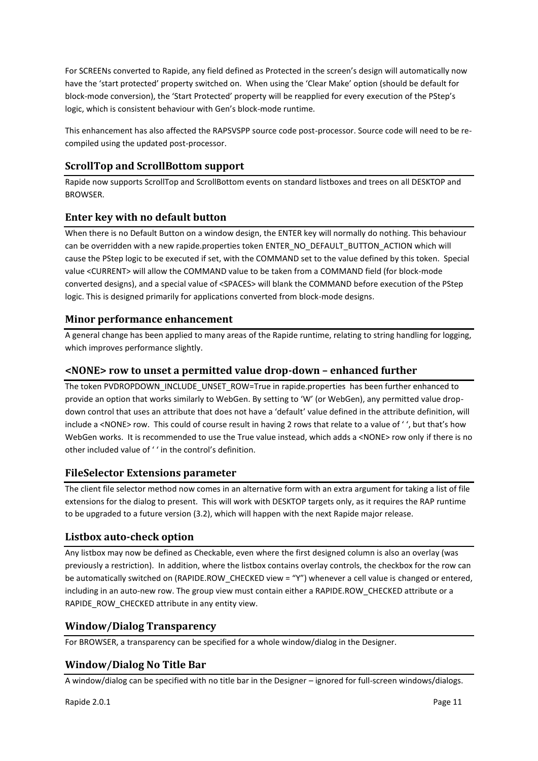For SCREENs converted to Rapide, any field defined as Protected in the screen's design will automatically now have the 'start protected' property switched on. When using the 'Clear Make' option (should be default for block-mode conversion), the 'Start Protected' property will be reapplied for every execution of the PStep's logic, which is consistent behaviour with Gen's block-mode runtime.

This enhancement has also affected the RAPSVSPP source code post-processor. Source code will need to be recompiled using the updated post-processor.

## <span id="page-10-0"></span>**ScrollTop and ScrollBottom support**

Rapide now supports ScrollTop and ScrollBottom events on standard listboxes and trees on all DESKTOP and BROWSER.

## <span id="page-10-1"></span>**Enter key with no default button**

When there is no Default Button on a window design, the ENTER key will normally do nothing. This behaviour can be overridden with a new rapide.properties token ENTER\_NO\_DEFAULT\_BUTTON\_ACTION which will cause the PStep logic to be executed if set, with the COMMAND set to the value defined by this token. Special value <CURRENT> will allow the COMMAND value to be taken from a COMMAND field (for block-mode converted designs), and a special value of <SPACES> will blank the COMMAND before execution of the PStep logic. This is designed primarily for applications converted from block-mode designs.

## <span id="page-10-2"></span>**Minor performance enhancement**

A general change has been applied to many areas of the Rapide runtime, relating to string handling for logging, which improves performance slightly.

#### <span id="page-10-3"></span>**<NONE> row to unset a permitted value drop-down – enhanced further**

The token PVDROPDOWN\_INCLUDE\_UNSET\_ROW=True in rapide.properties has been further enhanced to provide an option that works similarly to WebGen. By setting to 'W' (or WebGen), any permitted value dropdown control that uses an attribute that does not have a 'default' value defined in the attribute definition, will include a <NONE> row. This could of course result in having 2 rows that relate to a value of ' ', but that's how WebGen works. It is recommended to use the True value instead, which adds a <NONE> row only if there is no other included value of ' ' in the control's definition.

## <span id="page-10-4"></span>**FileSelector Extensions parameter**

The client file selector method now comes in an alternative form with an extra argument for taking a list of file extensions for the dialog to present. This will work with DESKTOP targets only, as it requires the RAP runtime to be upgraded to a future version (3.2), which will happen with the next Rapide major release.

#### <span id="page-10-5"></span>**Listbox auto-check option**

Any listbox may now be defined as Checkable, even where the first designed column is also an overlay (was previously a restriction). In addition, where the listbox contains overlay controls, the checkbox for the row can be automatically switched on (RAPIDE.ROW\_CHECKED view = "Y") whenever a cell value is changed or entered, including in an auto-new row. The group view must contain either a RAPIDE.ROW\_CHECKED attribute or a RAPIDE\_ROW\_CHECKED attribute in any entity view.

#### <span id="page-10-6"></span>**Window/Dialog Transparency**

For BROWSER, a transparency can be specified for a whole window/dialog in the Designer.

#### <span id="page-10-7"></span>**Window/Dialog No Title Bar**

A window/dialog can be specified with no title bar in the Designer – ignored for full-screen windows/dialogs.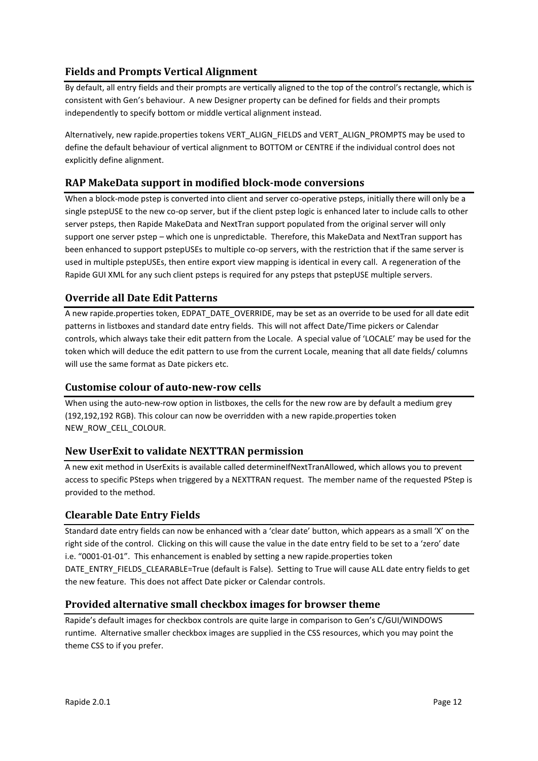## <span id="page-11-0"></span>**Fields and Prompts Vertical Alignment**

By default, all entry fields and their prompts are vertically aligned to the top of the control's rectangle, which is consistent with Gen's behaviour. A new Designer property can be defined for fields and their prompts independently to specify bottom or middle vertical alignment instead.

Alternatively, new rapide.properties tokens VERT\_ALIGN\_FIELDS and VERT\_ALIGN\_PROMPTS may be used to define the default behaviour of vertical alignment to BOTTOM or CENTRE if the individual control does not explicitly define alignment.

## <span id="page-11-1"></span>**RAP MakeData support in modified block-mode conversions**

When a block-mode pstep is converted into client and server co-operative psteps, initially there will only be a single pstepUSE to the new co-op server, but if the client pstep logic is enhanced later to include calls to other server psteps, then Rapide MakeData and NextTran support populated from the original server will only support one server pstep – which one is unpredictable. Therefore, this MakeData and NextTran support has been enhanced to support pstepUSEs to multiple co-op servers, with the restriction that if the same server is used in multiple pstepUSEs, then entire export view mapping is identical in every call. A regeneration of the Rapide GUI XML for any such client psteps is required for any psteps that pstepUSE multiple servers.

## <span id="page-11-2"></span>**Override all Date Edit Patterns**

A new rapide.properties token, EDPAT\_DATE\_OVERRIDE, may be set as an override to be used for all date edit patterns in listboxes and standard date entry fields. This will not affect Date/Time pickers or Calendar controls, which always take their edit pattern from the Locale. A special value of 'LOCALE' may be used for the token which will deduce the edit pattern to use from the current Locale, meaning that all date fields/ columns will use the same format as Date pickers etc.

## <span id="page-11-3"></span>**Customise colour of auto-new-row cells**

When using the auto-new-row option in listboxes, the cells for the new row are by default a medium grey (192,192,192 RGB). This colour can now be overridden with a new rapide.properties token NEW\_ROW\_CELL\_COLOUR.

## <span id="page-11-4"></span>**New UserExit to validate NEXTTRAN permission**

A new exit method in UserExits is available called determineIfNextTranAllowed, which allows you to prevent access to specific PSteps when triggered by a NEXTTRAN request. The member name of the requested PStep is provided to the method.

## <span id="page-11-5"></span>**Clearable Date Entry Fields**

Standard date entry fields can now be enhanced with a 'clear date' button, which appears as a small 'X' on the right side of the control. Clicking on this will cause the value in the date entry field to be set to a 'zero' date i.e. "0001-01-01". This enhancement is enabled by setting a new rapide.properties token DATE\_ENTRY\_FIELDS\_CLEARABLE=True (default is False). Setting to True will cause ALL date entry fields to get the new feature. This does not affect Date picker or Calendar controls.

## <span id="page-11-6"></span>**Provided alternative small checkbox images for browser theme**

Rapide's default images for checkbox controls are quite large in comparison to Gen's C/GUI/WINDOWS runtime. Alternative smaller checkbox images are supplied in the CSS resources, which you may point the theme CSS to if you prefer.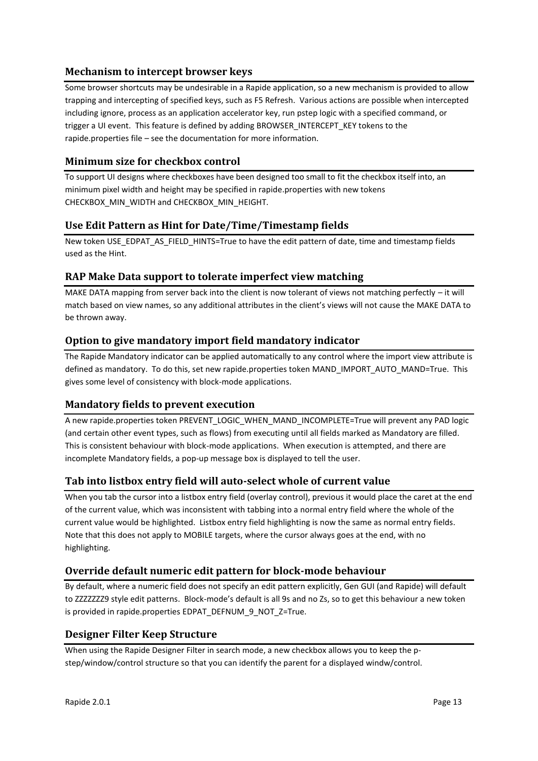## <span id="page-12-0"></span>**Mechanism to intercept browser keys**

Some browser shortcuts may be undesirable in a Rapide application, so a new mechanism is provided to allow trapping and intercepting of specified keys, such as F5 Refresh. Various actions are possible when intercepted including ignore, process as an application accelerator key, run pstep logic with a specified command, or trigger a UI event. This feature is defined by adding BROWSER\_INTERCEPT\_KEY tokens to the rapide.properties file – see the documentation for more information.

## <span id="page-12-1"></span>**Minimum size for checkbox control**

To support UI designs where checkboxes have been designed too small to fit the checkbox itself into, an minimum pixel width and height may be specified in rapide.properties with new tokens CHECKBOX\_MIN\_WIDTH and CHECKBOX\_MIN\_HEIGHT.

## <span id="page-12-2"></span>**Use Edit Pattern as Hint for Date/Time/Timestamp fields**

New token USE\_EDPAT\_AS\_FIELD\_HINTS=True to have the edit pattern of date, time and timestamp fields used as the Hint.

## <span id="page-12-3"></span>**RAP Make Data support to tolerate imperfect view matching**

MAKE DATA mapping from server back into the client is now tolerant of views not matching perfectly – it will match based on view names, so any additional attributes in the client's views will not cause the MAKE DATA to be thrown away.

## <span id="page-12-4"></span>**Option to give mandatory import field mandatory indicator**

The Rapide Mandatory indicator can be applied automatically to any control where the import view attribute is defined as mandatory. To do this, set new rapide.properties token MAND\_IMPORT\_AUTO\_MAND=True. This gives some level of consistency with block-mode applications.

## <span id="page-12-5"></span>**Mandatory fields to prevent execution**

A new rapide.properties token PREVENT\_LOGIC\_WHEN\_MAND\_INCOMPLETE=True will prevent any PAD logic (and certain other event types, such as flows) from executing until all fields marked as Mandatory are filled. This is consistent behaviour with block-mode applications. When execution is attempted, and there are incomplete Mandatory fields, a pop-up message box is displayed to tell the user.

## <span id="page-12-6"></span>**Tab into listbox entry field will auto-select whole of current value**

When you tab the cursor into a listbox entry field (overlay control), previous it would place the caret at the end of the current value, which was inconsistent with tabbing into a normal entry field where the whole of the current value would be highlighted. Listbox entry field highlighting is now the same as normal entry fields. Note that this does not apply to MOBILE targets, where the cursor always goes at the end, with no highlighting.

## <span id="page-12-7"></span>**Override default numeric edit pattern for block-mode behaviour**

By default, where a numeric field does not specify an edit pattern explicitly, Gen GUI (and Rapide) will default to ZZZZZZZ9 style edit patterns. Block-mode's default is all 9s and no Zs, so to get this behaviour a new token is provided in rapide.properties EDPAT\_DEFNUM\_9\_NOT\_Z=True.

## <span id="page-12-8"></span>**Designer Filter Keep Structure**

When using the Rapide Designer Filter in search mode, a new checkbox allows you to keep the pstep/window/control structure so that you can identify the parent for a displayed windw/control.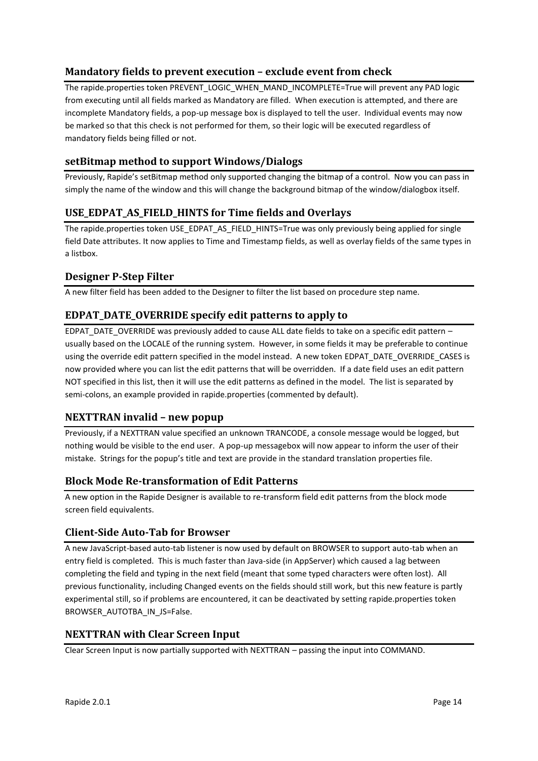## <span id="page-13-0"></span>**Mandatory fields to prevent execution – exclude event from check**

The rapide.properties token PREVENT\_LOGIC\_WHEN\_MAND\_INCOMPLETE=True will prevent any PAD logic from executing until all fields marked as Mandatory are filled. When execution is attempted, and there are incomplete Mandatory fields, a pop-up message box is displayed to tell the user. Individual events may now be marked so that this check is not performed for them, so their logic will be executed regardless of mandatory fields being filled or not.

## <span id="page-13-1"></span>**setBitmap method to support Windows/Dialogs**

Previously, Rapide's setBitmap method only supported changing the bitmap of a control. Now you can pass in simply the name of the window and this will change the background bitmap of the window/dialogbox itself.

## <span id="page-13-2"></span>**USE\_EDPAT\_AS\_FIELD\_HINTS for Time fields and Overlays**

The rapide.properties token USE\_EDPAT\_AS\_FIELD\_HINTS=True was only previously being applied for single field Date attributes. It now applies to Time and Timestamp fields, as well as overlay fields of the same types in a listbox.

## <span id="page-13-3"></span>**Designer P-Step Filter**

A new filter field has been added to the Designer to filter the list based on procedure step name.

## <span id="page-13-4"></span>**EDPAT\_DATE\_OVERRIDE specify edit patterns to apply to**

EDPAT\_DATE\_OVERRIDE was previously added to cause ALL date fields to take on a specific edit pattern – usually based on the LOCALE of the running system. However, in some fields it may be preferable to continue using the override edit pattern specified in the model instead. A new token EDPAT\_DATE\_OVERRIDE\_CASES is now provided where you can list the edit patterns that will be overridden. If a date field uses an edit pattern NOT specified in this list, then it will use the edit patterns as defined in the model. The list is separated by semi-colons, an example provided in rapide.properties (commented by default).

## <span id="page-13-5"></span>**NEXTTRAN invalid – new popup**

Previously, if a NEXTTRAN value specified an unknown TRANCODE, a console message would be logged, but nothing would be visible to the end user. A pop-up messagebox will now appear to inform the user of their mistake. Strings for the popup's title and text are provide in the standard translation properties file.

## <span id="page-13-6"></span>**Block Mode Re-transformation of Edit Patterns**

A new option in the Rapide Designer is available to re-transform field edit patterns from the block mode screen field equivalents.

## <span id="page-13-7"></span>**Client-Side Auto-Tab for Browser**

A new JavaScript-based auto-tab listener is now used by default on BROWSER to support auto-tab when an entry field is completed. This is much faster than Java-side (in AppServer) which caused a lag between completing the field and typing in the next field (meant that some typed characters were often lost). All previous functionality, including Changed events on the fields should still work, but this new feature is partly experimental still, so if problems are encountered, it can be deactivated by setting rapide.properties token BROWSER\_AUTOTBA\_IN\_JS=False.

## <span id="page-13-8"></span>**NEXTTRAN with Clear Screen Input**

Clear Screen Input is now partially supported with NEXTTRAN – passing the input into COMMAND.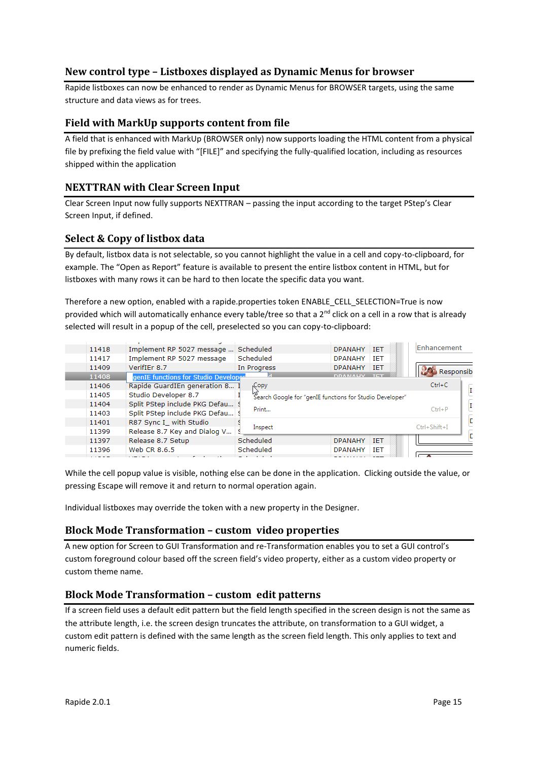## <span id="page-14-0"></span>**New control type – Listboxes displayed as Dynamic Menus for browser**

Rapide listboxes can now be enhanced to render as Dynamic Menus for BROWSER targets, using the same structure and data views as for trees.

## <span id="page-14-1"></span>**Field with MarkUp supports content from file**

A field that is enhanced with MarkUp (BROWSER only) now supports loading the HTML content from a physical file by prefixing the field value with "[FILE]" and specifying the fully-qualified location, including as resources shipped within the application

### <span id="page-14-2"></span>**NEXTTRAN with Clear Screen Input**

Clear Screen Input now fully supports NEXTTRAN – passing the input according to the target PStep's Clear Screen Input, if defined.

#### <span id="page-14-3"></span>**Select & Copy of listbox data**

By default, listbox data is not selectable, so you cannot highlight the value in a cell and copy-to-clipboard, for example. The "Open as Report" feature is available to present the entire listbox content in HTML, but for listboxes with many rows it can be hard to then locate the specific data you want.

Therefore a new option, enabled with a rapide.properties token ENABLE\_CELL\_SELECTION=True is now provided which will automatically enhance every table/tree so that a  $2^{nd}$  click on a cell in a row that is already selected will result in a popup of the cell, preselected so you can copy-to-clipboard:

| 11418 | Implement RP 5027 message            | Scheduled                                                | <b>DPANAHY</b><br><b>TFT</b> | Enhancement        |
|-------|--------------------------------------|----------------------------------------------------------|------------------------------|--------------------|
| 11417 | Implement RP 5027 message            | Scheduled                                                | <b>DPANAHY</b><br><b>IET</b> |                    |
| 11409 | VerifIEr 8.7                         | In Progress                                              | <b>DPANAHY</b><br><b>IFT</b> | <b>Responsibi</b>  |
| 11408 | genIE functions for Studio Developer |                                                          | <b>DDAMAIN</b>               |                    |
| 11406 | Rapide GuardIEn generation 8         | Copy                                                     |                              | $Ctrl + C$         |
| 11405 | Studio Developer 8.7                 | Search Google for "genIE functions for Studio Developer" |                              | $\mathbf{I}$       |
| 11404 | Split PStep include PKG Defau        |                                                          |                              | $\mathbf{I}$       |
| 11403 | Split PStep include PKG Defau        | Print                                                    |                              | $Ctrl + P$         |
| 11401 | R87 Sync I_ with Studio              |                                                          |                              | c                  |
| 11399 | Release 8.7 Key and Dialog V         | Inspect                                                  |                              | $Ctrl + Shift + I$ |
| 11397 | Release 8.7 Setup                    | Scheduled                                                | <b>IET</b><br><b>DPANAHY</b> |                    |
| 11396 | Web CR 8.6.5                         | Scheduled                                                | <b>IET</b><br><b>DPANAHY</b> |                    |
|       |                                      |                                                          |                              |                    |

While the cell popup value is visible, nothing else can be done in the application. Clicking outside the value, or pressing Escape will remove it and return to normal operation again.

Individual listboxes may override the token with a new property in the Designer.

## <span id="page-14-4"></span>**Block Mode Transformation – custom video properties**

A new option for Screen to GUI Transformation and re-Transformation enables you to set a GUI control's custom foreground colour based off the screen field's video property, either as a custom video property or custom theme name.

## <span id="page-14-5"></span>**Block Mode Transformation – custom edit patterns**

If a screen field uses a default edit pattern but the field length specified in the screen design is not the same as the attribute length, i.e. the screen design truncates the attribute, on transformation to a GUI widget, a custom edit pattern is defined with the same length as the screen field length. This only applies to text and numeric fields.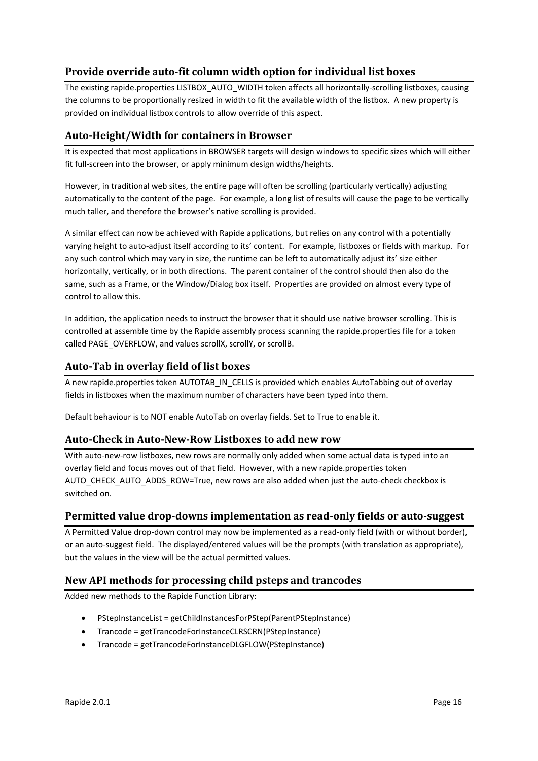## <span id="page-15-0"></span>**Provide override auto-fit column width option for individual list boxes**

The existing rapide.properties LISTBOX\_AUTO\_WIDTH token affects all horizontally-scrolling listboxes, causing the columns to be proportionally resized in width to fit the available width of the listbox. A new property is provided on individual listbox controls to allow override of this aspect.

## <span id="page-15-1"></span>**Auto-Height/Width for containers in Browser**

It is expected that most applications in BROWSER targets will design windows to specific sizes which will either fit full-screen into the browser, or apply minimum design widths/heights.

However, in traditional web sites, the entire page will often be scrolling (particularly vertically) adjusting automatically to the content of the page. For example, a long list of results will cause the page to be vertically much taller, and therefore the browser's native scrolling is provided.

A similar effect can now be achieved with Rapide applications, but relies on any control with a potentially varying height to auto-adjust itself according to its' content. For example, listboxes or fields with markup. For any such control which may vary in size, the runtime can be left to automatically adjust its' size either horizontally, vertically, or in both directions. The parent container of the control should then also do the same, such as a Frame, or the Window/Dialog box itself. Properties are provided on almost every type of control to allow this.

In addition, the application needs to instruct the browser that it should use native browser scrolling. This is controlled at assemble time by the Rapide assembly process scanning the rapide.properties file for a token called PAGE\_OVERFLOW, and values scrollX, scrollY, or scrollB.

## <span id="page-15-2"></span>**Auto-Tab in overlay field of list boxes**

A new rapide.properties token AUTOTAB\_IN\_CELLS is provided which enables AutoTabbing out of overlay fields in listboxes when the maximum number of characters have been typed into them.

Default behaviour is to NOT enable AutoTab on overlay fields. Set to True to enable it.

#### <span id="page-15-3"></span>**Auto-Check in Auto-New-Row Listboxes to add new row**

With auto-new-row listboxes, new rows are normally only added when some actual data is typed into an overlay field and focus moves out of that field. However, with a new rapide.properties token AUTO\_CHECK\_AUTO\_ADDS\_ROW=True, new rows are also added when just the auto-check checkbox is switched on.

## <span id="page-15-4"></span>**Permitted value drop-downs implementation as read-only fields or auto-suggest**

A Permitted Value drop-down control may now be implemented as a read-only field (with or without border), or an auto-suggest field. The displayed/entered values will be the prompts (with translation as appropriate), but the values in the view will be the actual permitted values.

## <span id="page-15-5"></span>**New API methods for processing child psteps and trancodes**

Added new methods to the Rapide Function Library:

- PStepInstanceList = getChildInstancesForPStep(ParentPStepInstance)
- Trancode = getTrancodeForInstanceCLRSCRN(PStepInstance)
- Trancode = getTrancodeForInstanceDLGFLOW(PStepInstance)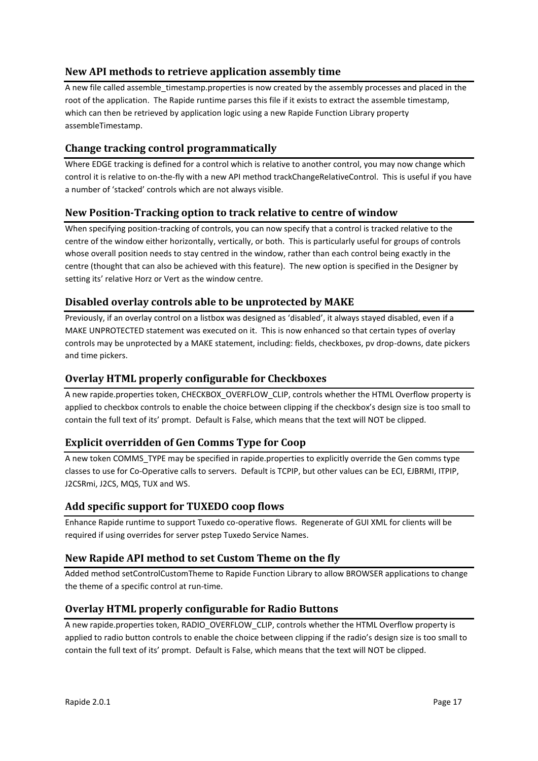## <span id="page-16-0"></span>**New API methods to retrieve application assembly time**

A new file called assemble timestamp.properties is now created by the assembly processes and placed in the root of the application. The Rapide runtime parses this file if it exists to extract the assemble timestamp, which can then be retrieved by application logic using a new Rapide Function Library property assembleTimestamp.

## <span id="page-16-1"></span>**Change tracking control programmatically**

Where EDGE tracking is defined for a control which is relative to another control, you may now change which control it is relative to on-the-fly with a new API method trackChangeRelativeControl. This is useful if you have a number of 'stacked' controls which are not always visible.

## <span id="page-16-2"></span>**New Position-Tracking option to track relative to centre of window**

When specifying position-tracking of controls, you can now specify that a control is tracked relative to the centre of the window either horizontally, vertically, or both. This is particularly useful for groups of controls whose overall position needs to stay centred in the window, rather than each control being exactly in the centre (thought that can also be achieved with this feature). The new option is specified in the Designer by setting its' relative Horz or Vert as the window centre.

## <span id="page-16-3"></span>**Disabled overlay controls able to be unprotected by MAKE**

Previously, if an overlay control on a listbox was designed as 'disabled', it always stayed disabled, even if a MAKE UNPROTECTED statement was executed on it. This is now enhanced so that certain types of overlay controls may be unprotected by a MAKE statement, including: fields, checkboxes, pv drop-downs, date pickers and time pickers.

## <span id="page-16-4"></span>**Overlay HTML properly configurable for Checkboxes**

A new rapide.properties token, CHECKBOX\_OVERFLOW\_CLIP, controls whether the HTML Overflow property is applied to checkbox controls to enable the choice between clipping if the checkbox's design size is too small to contain the full text of its' prompt. Default is False, which means that the text will NOT be clipped.

## <span id="page-16-5"></span>**Explicit overridden of Gen Comms Type for Coop**

A new token COMMS\_TYPE may be specified in rapide.properties to explicitly override the Gen comms type classes to use for Co-Operative calls to servers. Default is TCPIP, but other values can be ECI, EJBRMI, ITPIP, J2CSRmi, J2CS, MQS, TUX and WS.

## <span id="page-16-6"></span>**Add specific support for TUXEDO coop flows**

Enhance Rapide runtime to support Tuxedo co-operative flows. Regenerate of GUI XML for clients will be required if using overrides for server pstep Tuxedo Service Names.

## <span id="page-16-7"></span>**New Rapide API method to set Custom Theme on the fly**

Added method setControlCustomTheme to Rapide Function Library to allow BROWSER applications to change the theme of a specific control at run-time.

## <span id="page-16-8"></span>**Overlay HTML properly configurable for Radio Buttons**

A new rapide.properties token, RADIO\_OVERFLOW\_CLIP, controls whether the HTML Overflow property is applied to radio button controls to enable the choice between clipping if the radio's design size is too small to contain the full text of its' prompt. Default is False, which means that the text will NOT be clipped.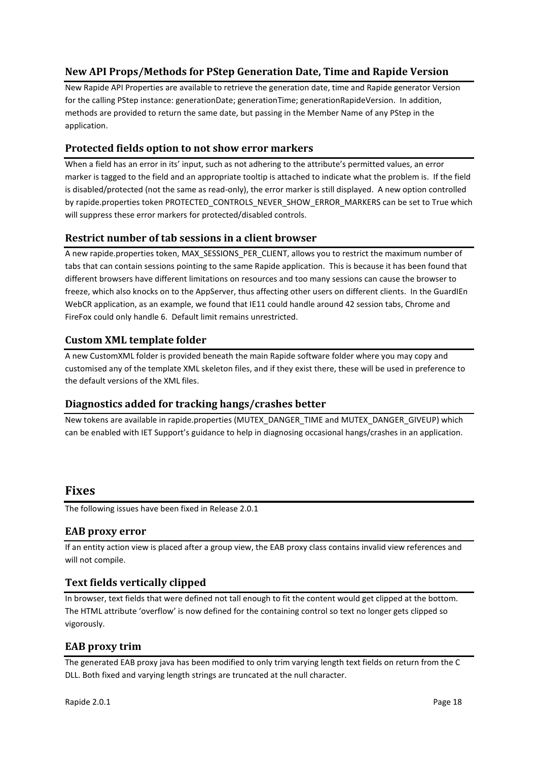## <span id="page-17-0"></span>**New API Props/Methods for PStep Generation Date, Time and Rapide Version**

New Rapide API Properties are available to retrieve the generation date, time and Rapide generator Version for the calling PStep instance: generationDate; generationTime; generationRapideVersion. In addition, methods are provided to return the same date, but passing in the Member Name of any PStep in the application.

## <span id="page-17-1"></span>**Protected fields option to not show error markers**

When a field has an error in its' input, such as not adhering to the attribute's permitted values, an error marker is tagged to the field and an appropriate tooltip is attached to indicate what the problem is. If the field is disabled/protected (not the same as read-only), the error marker is still displayed. A new option controlled by rapide.properties token PROTECTED\_CONTROLS\_NEVER\_SHOW\_ERROR\_MARKERS can be set to True which will suppress these error markers for protected/disabled controls.

## <span id="page-17-2"></span>**Restrict number of tab sessions in a client browser**

A new rapide.properties token, MAX\_SESSIONS\_PER\_CLIENT, allows you to restrict the maximum number of tabs that can contain sessions pointing to the same Rapide application. This is because it has been found that different browsers have different limitations on resources and too many sessions can cause the browser to freeze, which also knocks on to the AppServer, thus affecting other users on different clients. In the GuardIEn WebCR application, as an example, we found that IE11 could handle around 42 session tabs, Chrome and FireFox could only handle 6. Default limit remains unrestricted.

## <span id="page-17-3"></span>**Custom XML template folder**

A new CustomXML folder is provided beneath the main Rapide software folder where you may copy and customised any of the template XML skeleton files, and if they exist there, these will be used in preference to the default versions of the XML files.

## <span id="page-17-4"></span>**Diagnostics added for tracking hangs/crashes better**

New tokens are available in rapide.properties (MUTEX\_DANGER\_TIME and MUTEX\_DANGER\_GIVEUP) which can be enabled with IET Support's guidance to help in diagnosing occasional hangs/crashes in an application.

## <span id="page-17-5"></span>**Fixes**

The following issues have been fixed in Release 2.0.1

## <span id="page-17-6"></span>**EAB proxy error**

If an entity action view is placed after a group view, the EAB proxy class contains invalid view references and will not compile.

## <span id="page-17-7"></span>**Text fields vertically clipped**

In browser, text fields that were defined not tall enough to fit the content would get clipped at the bottom. The HTML attribute 'overflow' is now defined for the containing control so text no longer gets clipped so vigorously.

## <span id="page-17-8"></span>**EAB proxy trim**

The generated EAB proxy java has been modified to only trim varying length text fields on return from the C DLL. Both fixed and varying length strings are truncated at the null character.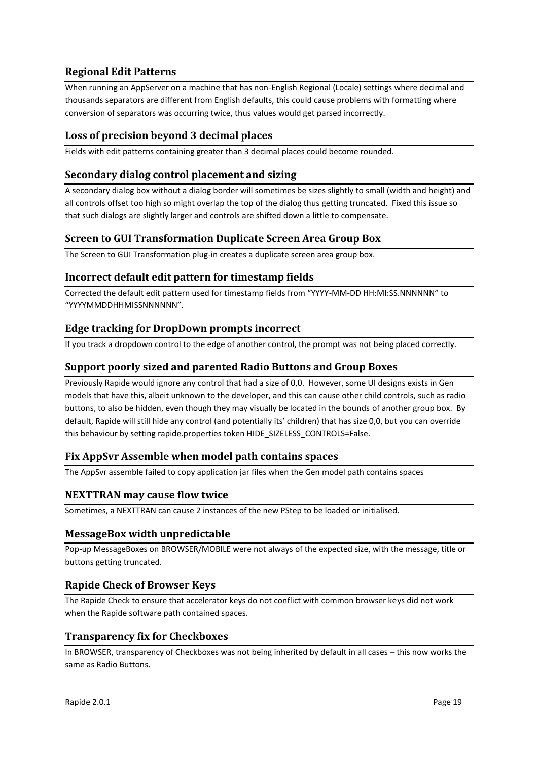## <span id="page-18-0"></span>**Regional Edit Patterns**

When running an AppServer on a machine that has non-English Regional (Locale) settings where decimal and thousands separators are different from English defaults, this could cause problems with formatting where conversion of separators was occurring twice, thus values would get parsed incorrectly.

## <span id="page-18-1"></span>**Loss of precision beyond 3 decimal places**

Fields with edit patterns containing greater than 3 decimal places could become rounded.

## <span id="page-18-2"></span>**Secondary dialog control placement and sizing**

A secondary dialog box without a dialog border will sometimes be sizes slightly to small (width and height) and all controls offset too high so might overlap the top of the dialog thus getting truncated. Fixed this issue so that such dialogs are slightly larger and controls are shifted down a little to compensate.

## <span id="page-18-3"></span>**Screen to GUI Transformation Duplicate Screen Area Group Box**

The Screen to GUI Transformation plug-in creates a duplicate screen area group box.

#### <span id="page-18-4"></span>**Incorrect default edit pattern for timestamp fields**

Corrected the default edit pattern used for timestamp fields from "YYYY-MM-DD HH:MI:SS.NNNNNN" to "YYYYMMDDHHMISSNNNNNN".

#### <span id="page-18-5"></span>**Edge tracking for DropDown prompts incorrect**

If you track a dropdown control to the edge of another control, the prompt was not being placed correctly.

#### <span id="page-18-6"></span>**Support poorly sized and parented Radio Buttons and Group Boxes**

Previously Rapide would ignore any control that had a size of 0,0. However, some UI designs exists in Gen models that have this, albeit unknown to the developer, and this can cause other child controls, such as radio buttons, to also be hidden, even though they may visually be located in the bounds of another group box. By default, Rapide will still hide any control (and potentially its' children) that has size 0,0, but you can override this behaviour by setting rapide.properties token HIDE\_SIZELESS\_CONTROLS=False.

#### <span id="page-18-7"></span>**Fix AppSvr Assemble when model path contains spaces**

The AppSvr assemble failed to copy application jar files when the Gen model path contains spaces

#### <span id="page-18-8"></span>**NEXTTRAN may cause flow twice**

Sometimes, a NEXTTRAN can cause 2 instances of the new PStep to be loaded or initialised.

#### <span id="page-18-9"></span>**MessageBox width unpredictable**

Pop-up MessageBoxes on BROWSER/MOBILE were not always of the expected size, with the message, title or buttons getting truncated.

#### <span id="page-18-10"></span>**Rapide Check of Browser Keys**

The Rapide Check to ensure that accelerator keys do not conflict with common browser keys did not work when the Rapide software path contained spaces.

## <span id="page-18-11"></span>**Transparency fix for Checkboxes**

In BROWSER, transparency of Checkboxes was not being inherited by default in all cases – this now works the same as Radio Buttons.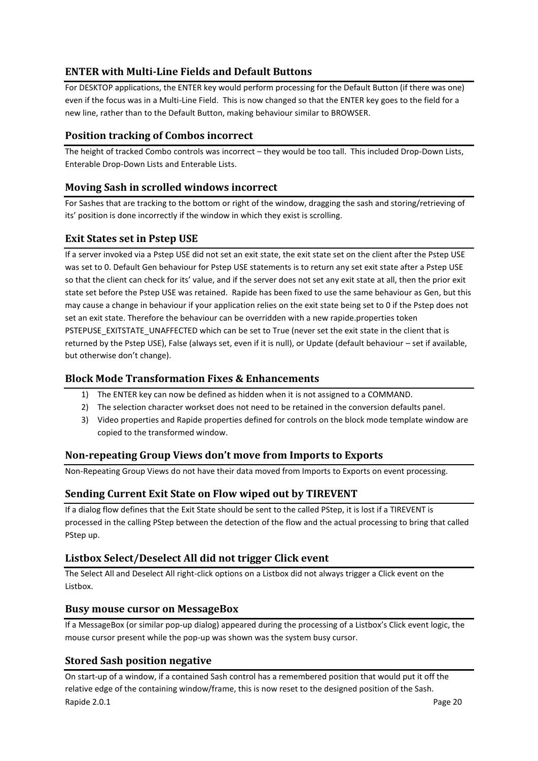## <span id="page-19-0"></span>**ENTER with Multi-Line Fields and Default Buttons**

For DESKTOP applications, the ENTER key would perform processing for the Default Button (if there was one) even if the focus was in a Multi-Line Field. This is now changed so that the ENTER key goes to the field for a new line, rather than to the Default Button, making behaviour similar to BROWSER.

## <span id="page-19-1"></span>**Position tracking of Combos incorrect**

The height of tracked Combo controls was incorrect – they would be too tall. This included Drop-Down Lists, Enterable Drop-Down Lists and Enterable Lists.

## <span id="page-19-2"></span>**Moving Sash in scrolled windows incorrect**

For Sashes that are tracking to the bottom or right of the window, dragging the sash and storing/retrieving of its' position is done incorrectly if the window in which they exist is scrolling.

## <span id="page-19-3"></span>**Exit States set in Pstep USE**

If a server invoked via a Pstep USE did not set an exit state, the exit state set on the client after the Pstep USE was set to 0. Default Gen behaviour for Pstep USE statements is to return any set exit state after a Pstep USE so that the client can check for its' value, and if the server does not set any exit state at all, then the prior exit state set before the Pstep USE was retained. Rapide has been fixed to use the same behaviour as Gen, but this may cause a change in behaviour if your application relies on the exit state being set to 0 if the Pstep does not set an exit state. Therefore the behaviour can be overridden with a new rapide.properties token PSTEPUSE\_EXITSTATE\_UNAFFECTED which can be set to True (never set the exit state in the client that is returned by the Pstep USE), False (always set, even if it is null), or Update (default behaviour – set if available, but otherwise don't change).

## <span id="page-19-4"></span>**Block Mode Transformation Fixes & Enhancements**

- 1) The ENTER key can now be defined as hidden when it is not assigned to a COMMAND.
- 2) The selection character workset does not need to be retained in the conversion defaults panel.
- 3) Video properties and Rapide properties defined for controls on the block mode template window are copied to the transformed window.

## <span id="page-19-5"></span>**Non-repeating Group Views don't move from Imports to Exports**

Non-Repeating Group Views do not have their data moved from Imports to Exports on event processing.

## <span id="page-19-6"></span>**Sending Current Exit State on Flow wiped out by TIREVENT**

If a dialog flow defines that the Exit State should be sent to the called PStep, it is lost if a TIREVENT is processed in the calling PStep between the detection of the flow and the actual processing to bring that called PStep up.

## <span id="page-19-7"></span>**Listbox Select/Deselect All did not trigger Click event**

The Select All and Deselect All right-click options on a Listbox did not always trigger a Click event on the Listbox.

## <span id="page-19-8"></span>**Busy mouse cursor on MessageBox**

If a MessageBox (or similar pop-up dialog) appeared during the processing of a Listbox's Click event logic, the mouse cursor present while the pop-up was shown was the system busy cursor.

## <span id="page-19-9"></span>**Stored Sash position negative**

Rapide 2.0.1 Page 20 On start-up of a window, if a contained Sash control has a remembered position that would put it off the relative edge of the containing window/frame, this is now reset to the designed position of the Sash.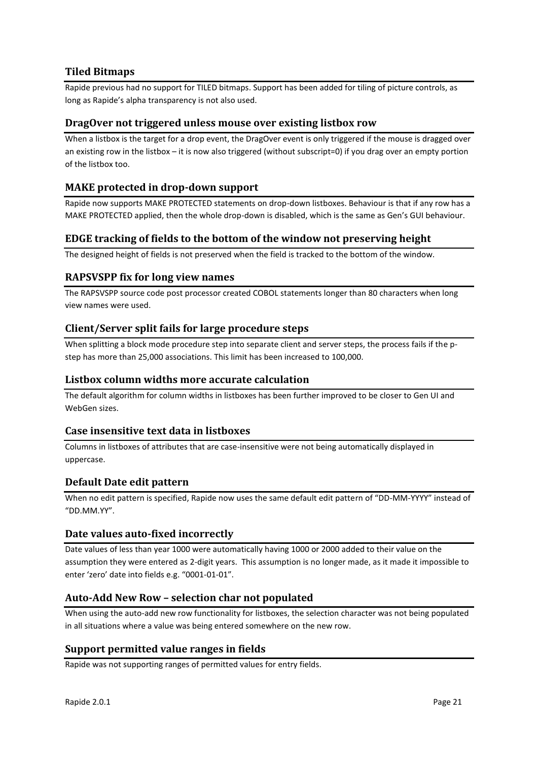## <span id="page-20-0"></span>**Tiled Bitmaps**

Rapide previous had no support for TILED bitmaps. Support has been added for tiling of picture controls, as long as Rapide's alpha transparency is not also used.

#### <span id="page-20-1"></span>**DragOver not triggered unless mouse over existing listbox row**

When a listbox is the target for a drop event, the DragOver event is only triggered if the mouse is dragged over an existing row in the listbox – it is now also triggered (without subscript=0) if you drag over an empty portion of the listbox too.

### <span id="page-20-2"></span>**MAKE protected in drop-down support**

Rapide now supports MAKE PROTECTED statements on drop-down listboxes. Behaviour is that if any row has a MAKE PROTECTED applied, then the whole drop-down is disabled, which is the same as Gen's GUI behaviour.

#### <span id="page-20-3"></span>**EDGE tracking of fields to the bottom of the window not preserving height**

The designed height of fields is not preserved when the field is tracked to the bottom of the window.

#### <span id="page-20-4"></span>**RAPSVSPP fix for long view names**

The RAPSVSPP source code post processor created COBOL statements longer than 80 characters when long view names were used.

#### <span id="page-20-5"></span>**Client/Server split fails for large procedure steps**

When splitting a block mode procedure step into separate client and server steps, the process fails if the pstep has more than 25,000 associations. This limit has been increased to 100,000.

#### <span id="page-20-6"></span>**Listbox column widths more accurate calculation**

The default algorithm for column widths in listboxes has been further improved to be closer to Gen UI and WebGen sizes.

#### <span id="page-20-7"></span>**Case insensitive text data in listboxes**

Columns in listboxes of attributes that are case-insensitive were not being automatically displayed in uppercase.

#### <span id="page-20-8"></span>**Default Date edit pattern**

When no edit pattern is specified, Rapide now uses the same default edit pattern of "DD-MM-YYYY" instead of "DD.MM.YY".

#### <span id="page-20-9"></span>**Date values auto-fixed incorrectly**

Date values of less than year 1000 were automatically having 1000 or 2000 added to their value on the assumption they were entered as 2-digit years. This assumption is no longer made, as it made it impossible to enter 'zero' date into fields e.g. "0001-01-01".

#### <span id="page-20-10"></span>**Auto-Add New Row – selection char not populated**

When using the auto-add new row functionality for listboxes, the selection character was not being populated in all situations where a value was being entered somewhere on the new row.

#### <span id="page-20-11"></span>**Support permitted value ranges in fields**

Rapide was not supporting ranges of permitted values for entry fields.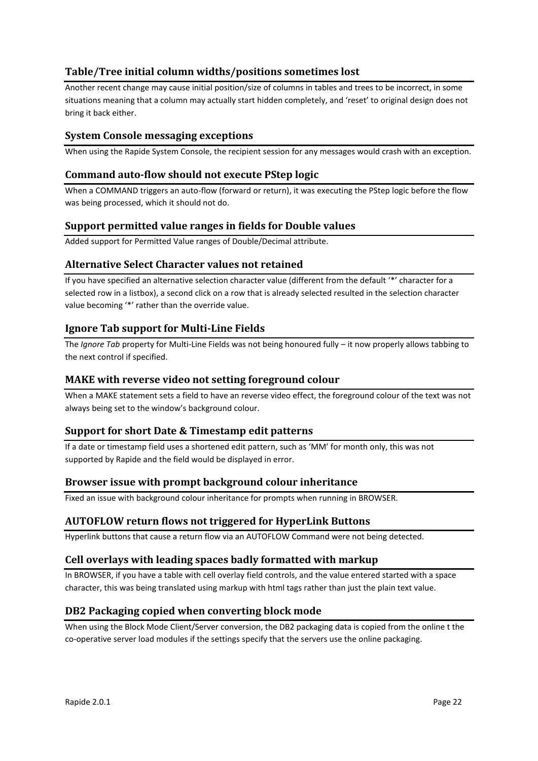## <span id="page-21-0"></span>**Table/Tree initial column widths/positions sometimes lost**

Another recent change may cause initial position/size of columns in tables and trees to be incorrect, in some situations meaning that a column may actually start hidden completely, and 'reset' to original design does not bring it back either.

## <span id="page-21-1"></span>**System Console messaging exceptions**

When using the Rapide System Console, the recipient session for any messages would crash with an exception.

### <span id="page-21-2"></span>**Command auto-flow should not execute PStep logic**

When a COMMAND triggers an auto-flow (forward or return), it was executing the PStep logic before the flow was being processed, which it should not do.

## <span id="page-21-3"></span>**Support permitted value ranges in fields for Double values**

Added support for Permitted Value ranges of Double/Decimal attribute.

## <span id="page-21-4"></span>**Alternative Select Character values not retained**

If you have specified an alternative selection character value (different from the default '\*' character for a selected row in a listbox), a second click on a row that is already selected resulted in the selection character value becoming '\*' rather than the override value.

## <span id="page-21-5"></span>**Ignore Tab support for Multi-Line Fields**

The *Ignore Tab* property for Multi-Line Fields was not being honoured fully – it now properly allows tabbing to the next control if specified.

### <span id="page-21-6"></span>**MAKE with reverse video not setting foreground colour**

When a MAKE statement sets a field to have an reverse video effect, the foreground colour of the text was not always being set to the window's background colour.

## <span id="page-21-7"></span>**Support for short Date & Timestamp edit patterns**

If a date or timestamp field uses a shortened edit pattern, such as 'MM' for month only, this was not supported by Rapide and the field would be displayed in error.

## <span id="page-21-8"></span>**Browser issue with prompt background colour inheritance**

Fixed an issue with background colour inheritance for prompts when running in BROWSER.

#### <span id="page-21-9"></span>**AUTOFLOW return flows not triggered for HyperLink Buttons**

Hyperlink buttons that cause a return flow via an AUTOFLOW Command were not being detected.

#### <span id="page-21-10"></span>**Cell overlays with leading spaces badly formatted with markup**

In BROWSER, if you have a table with cell overlay field controls, and the value entered started with a space character, this was being translated using markup with html tags rather than just the plain text value.

## <span id="page-21-11"></span>**DB2 Packaging copied when converting block mode**

When using the Block Mode Client/Server conversion, the DB2 packaging data is copied from the online t the co-operative server load modules if the settings specify that the servers use the online packaging.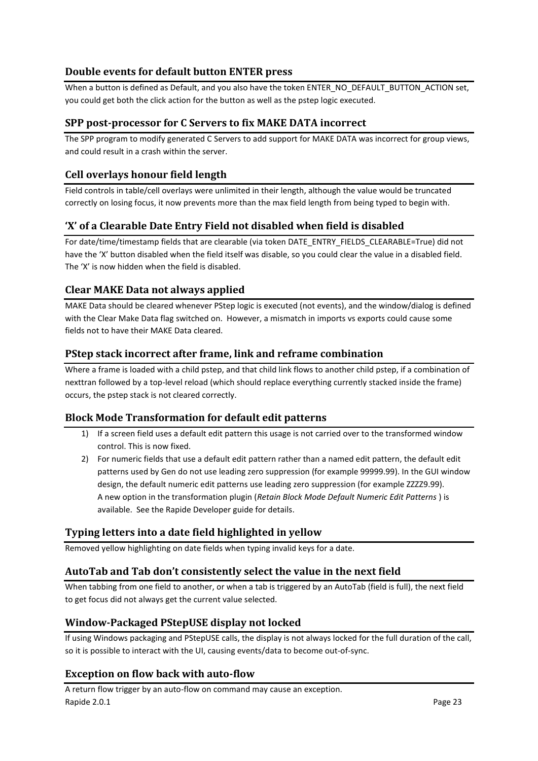## <span id="page-22-0"></span>**Double events for default button ENTER press**

When a button is defined as Default, and you also have the token ENTER\_NO\_DEFAULT\_BUTTON\_ACTION set, you could get both the click action for the button as well as the pstep logic executed.

## <span id="page-22-1"></span>**SPP post-processor for C Servers to fix MAKE DATA incorrect**

The SPP program to modify generated C Servers to add support for MAKE DATA was incorrect for group views, and could result in a crash within the server.

## <span id="page-22-2"></span>**Cell overlays honour field length**

Field controls in table/cell overlays were unlimited in their length, although the value would be truncated correctly on losing focus, it now prevents more than the max field length from being typed to begin with.

## <span id="page-22-3"></span>**'X' of a Clearable Date Entry Field not disabled when field is disabled**

For date/time/timestamp fields that are clearable (via token DATE\_ENTRY\_FIELDS\_CLEARABLE=True) did not have the 'X' button disabled when the field itself was disable, so you could clear the value in a disabled field. The 'X' is now hidden when the field is disabled.

## <span id="page-22-4"></span>**Clear MAKE Data not always applied**

MAKE Data should be cleared whenever PStep logic is executed (not events), and the window/dialog is defined with the Clear Make Data flag switched on. However, a mismatch in imports vs exports could cause some fields not to have their MAKE Data cleared.

## <span id="page-22-5"></span>**PStep stack incorrect after frame, link and reframe combination**

Where a frame is loaded with a child pstep, and that child link flows to another child pstep, if a combination of nexttran followed by a top-level reload (which should replace everything currently stacked inside the frame) occurs, the pstep stack is not cleared correctly.

## <span id="page-22-6"></span>**Block Mode Transformation for default edit patterns**

- 1) If a screen field uses a default edit pattern this usage is not carried over to the transformed window control. This is now fixed.
- 2) For numeric fields that use a default edit pattern rather than a named edit pattern, the default edit patterns used by Gen do not use leading zero suppression (for example 99999.99). In the GUI window design, the default numeric edit patterns use leading zero suppression (for example ZZZZ9.99). A new option in the transformation plugin (*Retain Block Mode Default Numeric Edit Patterns* ) is available. See the Rapide Developer guide for details.

## <span id="page-22-7"></span>**Typing letters into a date field highlighted in yellow**

Removed yellow highlighting on date fields when typing invalid keys for a date.

## <span id="page-22-8"></span>**AutoTab and Tab don't consistently select the value in the next field**

When tabbing from one field to another, or when a tab is triggered by an AutoTab (field is full), the next field to get focus did not always get the current value selected.

## <span id="page-22-9"></span>**Window-Packaged PStepUSE display not locked**

If using Windows packaging and PStepUSE calls, the display is not always locked for the full duration of the call, so it is possible to interact with the UI, causing events/data to become out-of-sync.

## <span id="page-22-10"></span>**Exception on flow back with auto-flow**

Rapide 2.0.1 Page 23 A return flow trigger by an auto-flow on command may cause an exception.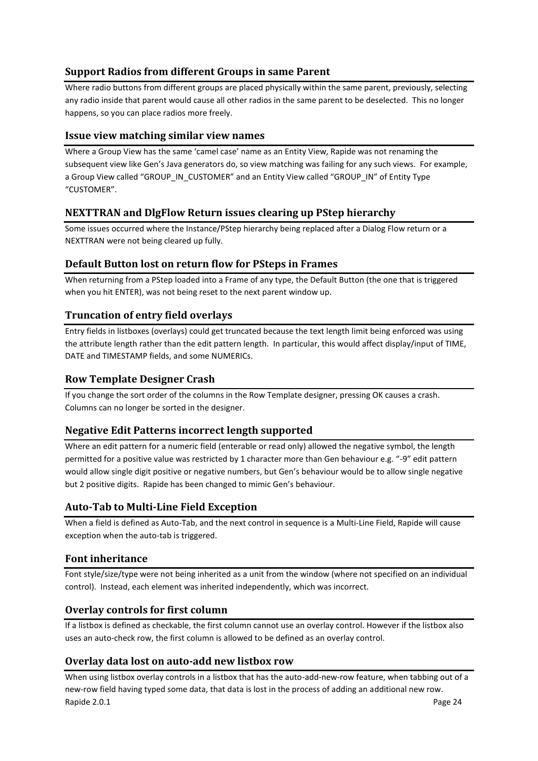## <span id="page-23-0"></span>**Support Radios from different Groups in same Parent**

Where radio buttons from different groups are placed physically within the same parent, previously, selecting any radio inside that parent would cause all other radios in the same parent to be deselected. This no longer happens, so you can place radios more freely.

## <span id="page-23-1"></span>**Issue view matching similar view names**

Where a Group View has the same 'camel case' name as an Entity View, Rapide was not renaming the subsequent view like Gen's Java generators do, so view matching was failing for any such views. For example, a Group View called "GROUP\_IN\_CUSTOMER" and an Entity View called "GROUP\_IN" of Entity Type "CUSTOMER".

## <span id="page-23-2"></span>**NEXTTRAN and DlgFlow Return issues clearing up PStep hierarchy**

Some issues occurred where the Instance/PStep hierarchy being replaced after a Dialog Flow return or a NEXTTRAN were not being cleared up fully.

## <span id="page-23-3"></span>**Default Button lost on return flow for PSteps in Frames**

When returning from a PStep loaded into a Frame of any type, the Default Button (the one that is triggered when you hit ENTER), was not being reset to the next parent window up.

## <span id="page-23-4"></span>**Truncation of entry field overlays**

Entry fields in listboxes (overlays) could get truncated because the text length limit being enforced was using the attribute length rather than the edit pattern length. In particular, this would affect display/input of TIME, DATE and TIMESTAMP fields, and some NUMERICs.

### <span id="page-23-5"></span>**Row Template Designer Crash**

If you change the sort order of the columns in the Row Template designer, pressing OK causes a crash. Columns can no longer be sorted in the designer.

## <span id="page-23-6"></span>**Negative Edit Patterns incorrect length supported**

Where an edit pattern for a numeric field (enterable or read only) allowed the negative symbol, the length permitted for a positive value was restricted by 1 character more than Gen behaviour e.g. "-9" edit pattern would allow single digit positive or negative numbers, but Gen's behaviour would be to allow single negative but 2 positive digits. Rapide has been changed to mimic Gen's behaviour.

## <span id="page-23-7"></span>**Auto-Tab to Multi-Line Field Exception**

When a field is defined as Auto-Tab, and the next control in sequence is a Multi-Line Field, Rapide will cause exception when the auto-tab is triggered.

## <span id="page-23-8"></span>**Font inheritance**

Font style/size/type were not being inherited as a unit from the window (where not specified on an individual control). Instead, each element was inherited independently, which was incorrect.

## <span id="page-23-9"></span>**Overlay controls for first column**

If a listbox is defined as checkable, the first column cannot use an overlay control. However if the listbox also uses an auto-check row, the first column is allowed to be defined as an overlay control.

## <span id="page-23-10"></span>**Overlay data lost on auto-add new listbox row**

Rapide 2.0.1 Page 24 When using listbox overlay controls in a listbox that has the auto-add-new-row feature, when tabbing out of a new-row field having typed some data, that data is lost in the process of adding an additional new row.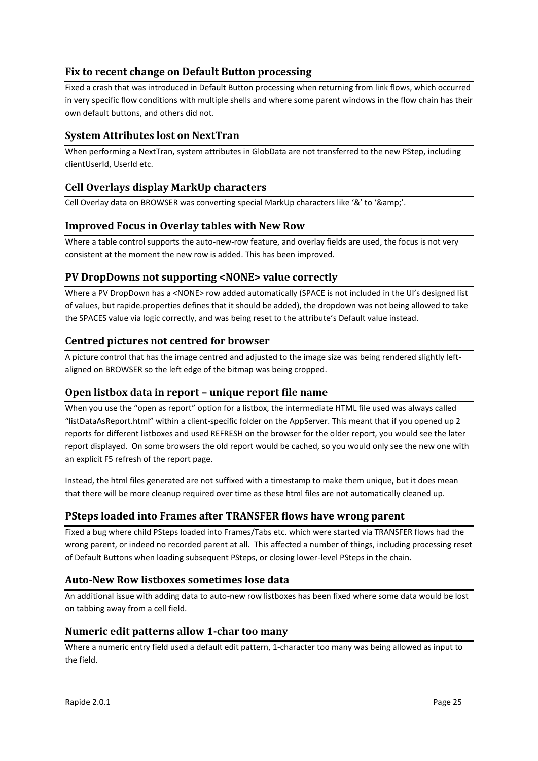## <span id="page-24-0"></span>**Fix to recent change on Default Button processing**

Fixed a crash that was introduced in Default Button processing when returning from link flows, which occurred in very specific flow conditions with multiple shells and where some parent windows in the flow chain has their own default buttons, and others did not.

## <span id="page-24-1"></span>**System Attributes lost on NextTran**

When performing a NextTran, system attributes in GlobData are not transferred to the new PStep, including clientUserId, UserId etc.

## <span id="page-24-2"></span>**Cell Overlays display MarkUp characters**

Cell Overlay data on BROWSER was converting special MarkUp characters like '&' to '&'.

## <span id="page-24-3"></span>**Improved Focus in Overlay tables with New Row**

Where a table control supports the auto-new-row feature, and overlay fields are used, the focus is not very consistent at the moment the new row is added. This has been improved.

## <span id="page-24-4"></span>**PV DropDowns not supporting <NONE> value correctly**

Where a PV DropDown has a <NONE> row added automatically (SPACE is not included in the UI's designed list of values, but rapide.properties defines that it should be added), the dropdown was not being allowed to take the SPACES value via logic correctly, and was being reset to the attribute's Default value instead.

## <span id="page-24-5"></span>**Centred pictures not centred for browser**

A picture control that has the image centred and adjusted to the image size was being rendered slightly leftaligned on BROWSER so the left edge of the bitmap was being cropped.

## <span id="page-24-6"></span>**Open listbox data in report – unique report file name**

When you use the "open as report" option for a listbox, the intermediate HTML file used was always called "listDataAsReport.html" within a client-specific folder on the AppServer. This meant that if you opened up 2 reports for different listboxes and used REFRESH on the browser for the older report, you would see the later report displayed. On some browsers the old report would be cached, so you would only see the new one with an explicit F5 refresh of the report page.

Instead, the html files generated are not suffixed with a timestamp to make them unique, but it does mean that there will be more cleanup required over time as these html files are not automatically cleaned up.

## <span id="page-24-7"></span>**PSteps loaded into Frames after TRANSFER flows have wrong parent**

Fixed a bug where child PSteps loaded into Frames/Tabs etc. which were started via TRANSFER flows had the wrong parent, or indeed no recorded parent at all. This affected a number of things, including processing reset of Default Buttons when loading subsequent PSteps, or closing lower-level PSteps in the chain.

## <span id="page-24-8"></span>**Auto-New Row listboxes sometimes lose data**

An additional issue with adding data to auto-new row listboxes has been fixed where some data would be lost on tabbing away from a cell field.

#### <span id="page-24-9"></span>**Numeric edit patterns allow 1-char too many**

Where a numeric entry field used a default edit pattern, 1-character too many was being allowed as input to the field.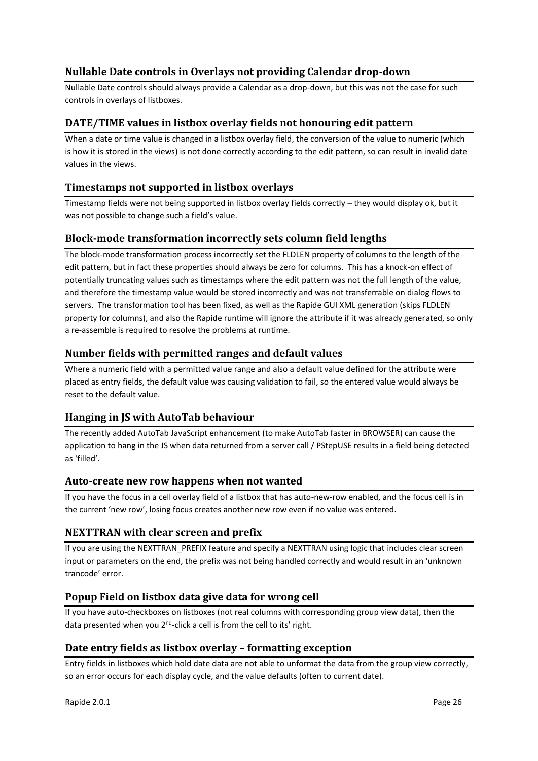## <span id="page-25-0"></span>**Nullable Date controls in Overlays not providing Calendar drop-down**

Nullable Date controls should always provide a Calendar as a drop-down, but this was not the case for such controls in overlays of listboxes.

## <span id="page-25-1"></span>**DATE/TIME values in listbox overlay fields not honouring edit pattern**

When a date or time value is changed in a listbox overlay field, the conversion of the value to numeric (which is how it is stored in the views) is not done correctly according to the edit pattern, so can result in invalid date values in the views.

### <span id="page-25-2"></span>**Timestamps not supported in listbox overlays**

Timestamp fields were not being supported in listbox overlay fields correctly – they would display ok, but it was not possible to change such a field's value.

#### <span id="page-25-3"></span>**Block-mode transformation incorrectly sets column field lengths**

The block-mode transformation process incorrectly set the FLDLEN property of columns to the length of the edit pattern, but in fact these properties should always be zero for columns. This has a knock-on effect of potentially truncating values such as timestamps where the edit pattern was not the full length of the value, and therefore the timestamp value would be stored incorrectly and was not transferrable on dialog flows to servers. The transformation tool has been fixed, as well as the Rapide GUI XML generation (skips FLDLEN property for columns), and also the Rapide runtime will ignore the attribute if it was already generated, so only a re-assemble is required to resolve the problems at runtime.

## <span id="page-25-4"></span>**Number fields with permitted ranges and default values**

Where a numeric field with a permitted value range and also a default value defined for the attribute were placed as entry fields, the default value was causing validation to fail, so the entered value would always be reset to the default value.

## <span id="page-25-5"></span>**Hanging in JS with AutoTab behaviour**

The recently added AutoTab JavaScript enhancement (to make AutoTab faster in BROWSER) can cause the application to hang in the JS when data returned from a server call / PStepUSE results in a field being detected as 'filled'.

#### <span id="page-25-6"></span>**Auto-create new row happens when not wanted**

If you have the focus in a cell overlay field of a listbox that has auto-new-row enabled, and the focus cell is in the current 'new row', losing focus creates another new row even if no value was entered.

## <span id="page-25-7"></span>**NEXTTRAN with clear screen and prefix**

If you are using the NEXTTRAN\_PREFIX feature and specify a NEXTTRAN using logic that includes clear screen input or parameters on the end, the prefix was not being handled correctly and would result in an 'unknown trancode' error.

## <span id="page-25-8"></span>**Popup Field on listbox data give data for wrong cell**

If you have auto-checkboxes on listboxes (not real columns with corresponding group view data), then the data presented when you 2<sup>nd</sup>-click a cell is from the cell to its' right.

#### <span id="page-25-9"></span>**Date entry fields as listbox overlay – formatting exception**

Entry fields in listboxes which hold date data are not able to unformat the data from the group view correctly, so an error occurs for each display cycle, and the value defaults (often to current date).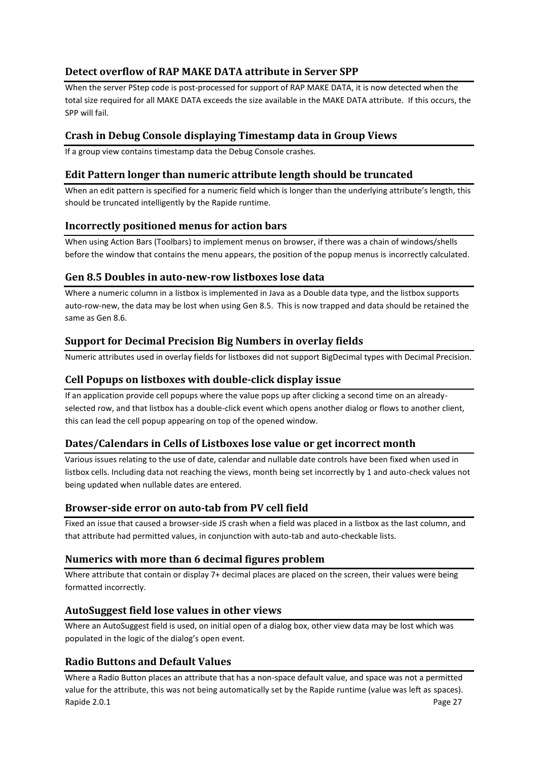## <span id="page-26-0"></span>**Detect overflow of RAP MAKE DATA attribute in Server SPP**

When the server PStep code is post-processed for support of RAP MAKE DATA, it is now detected when the total size required for all MAKE DATA exceeds the size available in the MAKE DATA attribute. If this occurs, the SPP will fail.

## <span id="page-26-1"></span>**Crash in Debug Console displaying Timestamp data in Group Views**

If a group view contains timestamp data the Debug Console crashes.

## <span id="page-26-2"></span>**Edit Pattern longer than numeric attribute length should be truncated**

When an edit pattern is specified for a numeric field which is longer than the underlying attribute's length, this should be truncated intelligently by the Rapide runtime.

## <span id="page-26-3"></span>**Incorrectly positioned menus for action bars**

When using Action Bars (Toolbars) to implement menus on browser, if there was a chain of windows/shells before the window that contains the menu appears, the position of the popup menus is incorrectly calculated.

## <span id="page-26-4"></span>**Gen 8.5 Doubles in auto-new-row listboxes lose data**

Where a numeric column in a listbox is implemented in Java as a Double data type, and the listbox supports auto-row-new, the data may be lost when using Gen 8.5. This is now trapped and data should be retained the same as Gen 8.6.

## <span id="page-26-5"></span>**Support for Decimal Precision Big Numbers in overlay fields**

Numeric attributes used in overlay fields for listboxes did not support BigDecimal types with Decimal Precision.

## <span id="page-26-6"></span>**Cell Popups on listboxes with double-click display issue**

If an application provide cell popups where the value pops up after clicking a second time on an alreadyselected row, and that listbox has a double-click event which opens another dialog or flows to another client, this can lead the cell popup appearing on top of the opened window.

## <span id="page-26-7"></span>**Dates/Calendars in Cells of Listboxes lose value or get incorrect month**

Various issues relating to the use of date, calendar and nullable date controls have been fixed when used in listbox cells. Including data not reaching the views, month being set incorrectly by 1 and auto-check values not being updated when nullable dates are entered.

## <span id="page-26-8"></span>**Browser-side error on auto-tab from PV cell field**

Fixed an issue that caused a browser-side JS crash when a field was placed in a listbox as the last column, and that attribute had permitted values, in conjunction with auto-tab and auto-checkable lists.

## <span id="page-26-9"></span>**Numerics with more than 6 decimal figures problem**

Where attribute that contain or display 7+ decimal places are placed on the screen, their values were being formatted incorrectly.

## <span id="page-26-10"></span>**AutoSuggest field lose values in other views**

Where an AutoSuggest field is used, on initial open of a dialog box, other view data may be lost which was populated in the logic of the dialog's open event.

## <span id="page-26-11"></span>**Radio Buttons and Default Values**

Rapide 2.0.1 Page 27 Where a Radio Button places an attribute that has a non-space default value, and space was not a permitted value for the attribute, this was not being automatically set by the Rapide runtime (value was left as spaces).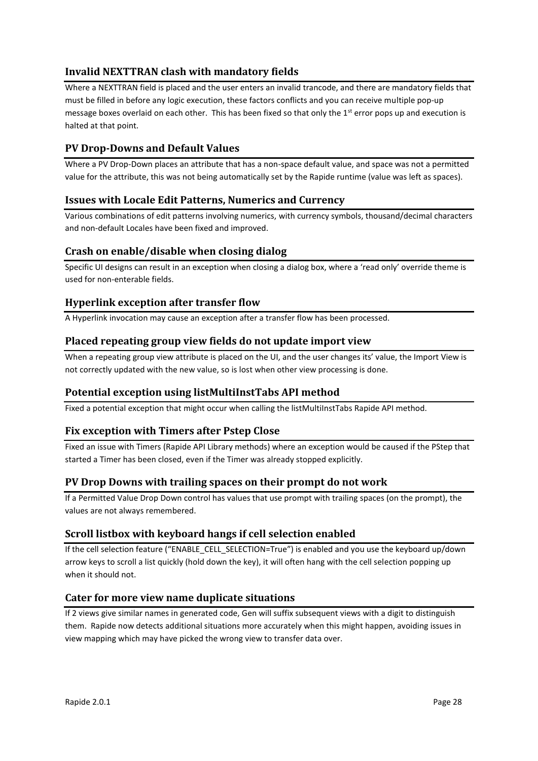## <span id="page-27-0"></span>**Invalid NEXTTRAN clash with mandatory fields**

Where a NEXTTRAN field is placed and the user enters an invalid trancode, and there are mandatory fields that must be filled in before any logic execution, these factors conflicts and you can receive multiple pop-up message boxes overlaid on each other. This has been fixed so that only the 1<sup>st</sup> error pops up and execution is halted at that point.

## <span id="page-27-1"></span>**PV Drop-Downs and Default Values**

Where a PV Drop-Down places an attribute that has a non-space default value, and space was not a permitted value for the attribute, this was not being automatically set by the Rapide runtime (value was left as spaces).

## <span id="page-27-2"></span>**Issues with Locale Edit Patterns, Numerics and Currency**

Various combinations of edit patterns involving numerics, with currency symbols, thousand/decimal characters and non-default Locales have been fixed and improved.

## <span id="page-27-3"></span>**Crash on enable/disable when closing dialog**

Specific UI designs can result in an exception when closing a dialog box, where a 'read only' override theme is used for non-enterable fields.

## <span id="page-27-4"></span>**Hyperlink exception after transfer flow**

A Hyperlink invocation may cause an exception after a transfer flow has been processed.

#### <span id="page-27-5"></span>**Placed repeating group view fields do not update import view**

When a repeating group view attribute is placed on the UI, and the user changes its' value, the Import View is not correctly updated with the new value, so is lost when other view processing is done.

## <span id="page-27-6"></span>**Potential exception using listMultiInstTabs API method**

Fixed a potential exception that might occur when calling the listMultiInstTabs Rapide API method.

## <span id="page-27-7"></span>**Fix exception with Timers after Pstep Close**

Fixed an issue with Timers (Rapide API Library methods) where an exception would be caused if the PStep that started a Timer has been closed, even if the Timer was already stopped explicitly.

## <span id="page-27-8"></span>**PV Drop Downs with trailing spaces on their prompt do not work**

If a Permitted Value Drop Down control has values that use prompt with trailing spaces (on the prompt), the values are not always remembered.

## <span id="page-27-9"></span>**Scroll listbox with keyboard hangs if cell selection enabled**

If the cell selection feature ("ENABLE\_CELL\_SELECTION=True") is enabled and you use the keyboard up/down arrow keys to scroll a list quickly (hold down the key), it will often hang with the cell selection popping up when it should not.

## <span id="page-27-10"></span>**Cater for more view name duplicate situations**

If 2 views give similar names in generated code, Gen will suffix subsequent views with a digit to distinguish them. Rapide now detects additional situations more accurately when this might happen, avoiding issues in view mapping which may have picked the wrong view to transfer data over.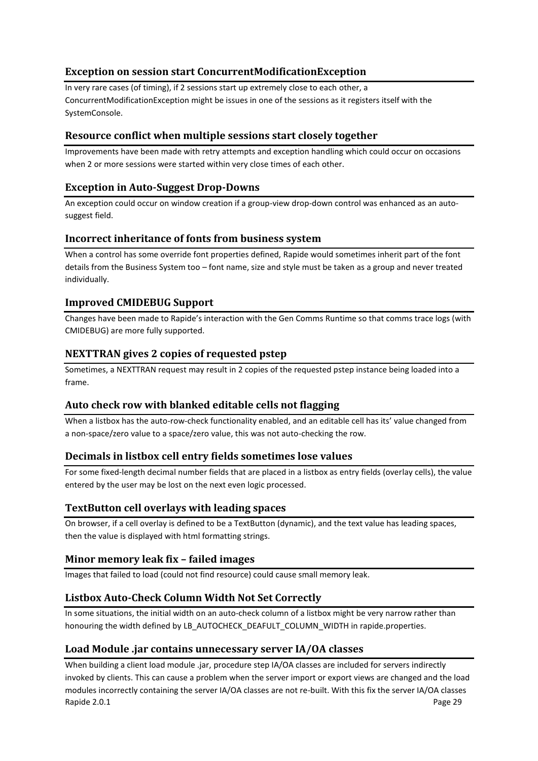## <span id="page-28-0"></span>**Exception on session start ConcurrentModificationException**

In very rare cases (of timing), if 2 sessions start up extremely close to each other, a ConcurrentModificationException might be issues in one of the sessions as it registers itself with the SystemConsole.

## <span id="page-28-1"></span>**Resource conflict when multiple sessions start closely together**

Improvements have been made with retry attempts and exception handling which could occur on occasions when 2 or more sessions were started within very close times of each other.

## <span id="page-28-2"></span>**Exception in Auto-Suggest Drop-Downs**

An exception could occur on window creation if a group-view drop-down control was enhanced as an autosuggest field.

## <span id="page-28-3"></span>**Incorrect inheritance of fonts from business system**

When a control has some override font properties defined, Rapide would sometimes inherit part of the font details from the Business System too – font name, size and style must be taken as a group and never treated individually.

## <span id="page-28-4"></span>**Improved CMIDEBUG Support**

Changes have been made to Rapide's interaction with the Gen Comms Runtime so that comms trace logs (with CMIDEBUG) are more fully supported.

## <span id="page-28-5"></span>**NEXTTRAN gives 2 copies of requested pstep**

Sometimes, a NEXTTRAN request may result in 2 copies of the requested pstep instance being loaded into a frame.

## <span id="page-28-6"></span>**Auto check row with blanked editable cells not flagging**

When a listbox has the auto-row-check functionality enabled, and an editable cell has its' value changed from a non-space/zero value to a space/zero value, this was not auto-checking the row.

## <span id="page-28-7"></span>**Decimals in listbox cell entry fields sometimes lose values**

For some fixed-length decimal number fields that are placed in a listbox as entry fields (overlay cells), the value entered by the user may be lost on the next even logic processed.

## <span id="page-28-8"></span>**TextButton cell overlays with leading spaces**

On browser, if a cell overlay is defined to be a TextButton (dynamic), and the text value has leading spaces, then the value is displayed with html formatting strings.

## <span id="page-28-9"></span>**Minor memory leak fix – failed images**

Images that failed to load (could not find resource) could cause small memory leak.

## <span id="page-28-10"></span>**Listbox Auto-Check Column Width Not Set Correctly**

In some situations, the initial width on an auto-check column of a listbox might be very narrow rather than honouring the width defined by LB\_AUTOCHECK\_DEAFULT\_COLUMN\_WIDTH in rapide.properties.

## <span id="page-28-11"></span>**Load Module .jar contains unnecessary server IA/OA classes**

Rapide 2.0.1 Page 29 When building a client load module .jar, procedure step IA/OA classes are included for servers indirectly invoked by clients. This can cause a problem when the server import or export views are changed and the load modules incorrectly containing the server IA/OA classes are not re-built. With this fix the server IA/OA classes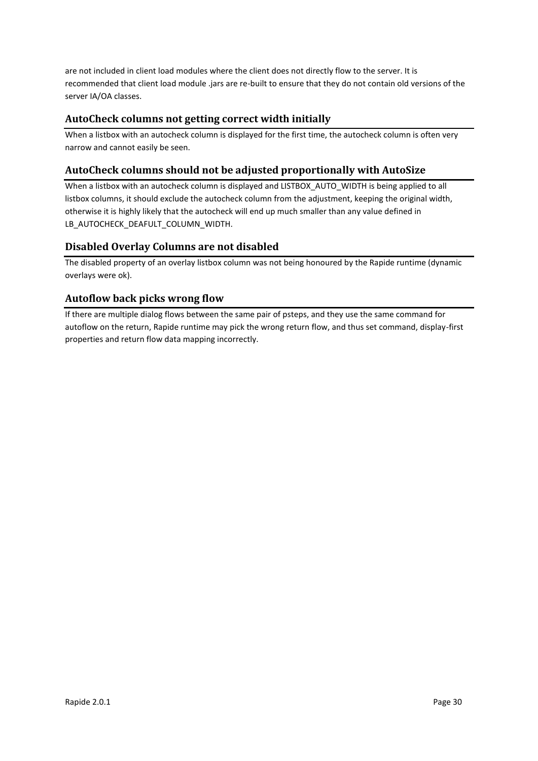are not included in client load modules where the client does not directly flow to the server. It is recommended that client load module .jars are re-built to ensure that they do not contain old versions of the server IA/OA classes.

## <span id="page-29-0"></span>**AutoCheck columns not getting correct width initially**

When a listbox with an autocheck column is displayed for the first time, the autocheck column is often very narrow and cannot easily be seen.

## <span id="page-29-1"></span>**AutoCheck columns should not be adjusted proportionally with AutoSize**

When a listbox with an autocheck column is displayed and LISTBOX\_AUTO\_WIDTH is being applied to all listbox columns, it should exclude the autocheck column from the adjustment, keeping the original width, otherwise it is highly likely that the autocheck will end up much smaller than any value defined in LB\_AUTOCHECK\_DEAFULT\_COLUMN\_WIDTH.

## <span id="page-29-2"></span>**Disabled Overlay Columns are not disabled**

The disabled property of an overlay listbox column was not being honoured by the Rapide runtime (dynamic overlays were ok).

## <span id="page-29-3"></span>**Autoflow back picks wrong flow**

If there are multiple dialog flows between the same pair of psteps, and they use the same command for autoflow on the return, Rapide runtime may pick the wrong return flow, and thus set command, display-first properties and return flow data mapping incorrectly.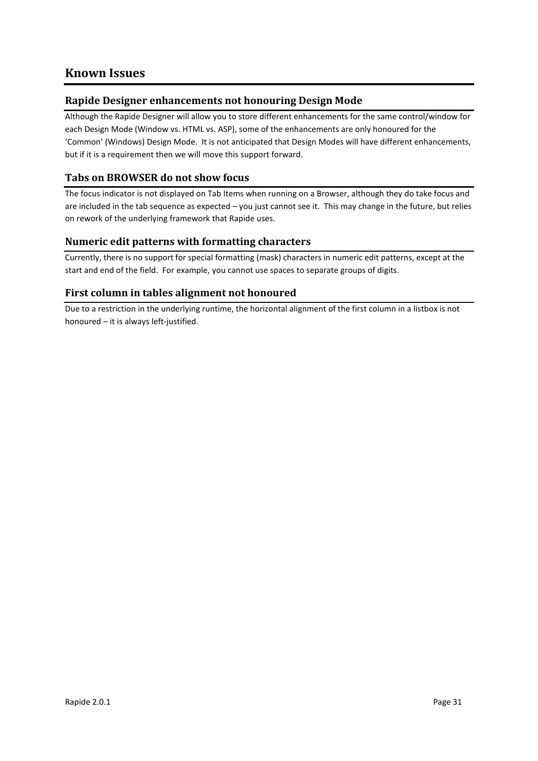## <span id="page-30-0"></span>**Known Issues**

## <span id="page-30-1"></span>**Rapide Designer enhancements not honouring Design Mode**

Although the Rapide Designer will allow you to store different enhancements for the same control/window for each Design Mode (Window vs. HTML vs. ASP), some of the enhancements are only honoured for the 'Common' (Windows) Design Mode. It is not anticipated that Design Modes will have different enhancements, but if it is a requirement then we will move this support forward.

## <span id="page-30-2"></span>**Tabs on BROWSER do not show focus**

The focus indicator is not displayed on Tab Items when running on a Browser, although they do take focus and are included in the tab sequence as expected – you just cannot see it. This may change in the future, but relies on rework of the underlying framework that Rapide uses.

## <span id="page-30-3"></span>**Numeric edit patterns with formatting characters**

Currently, there is no support for special formatting (mask) characters in numeric edit patterns, except at the start and end of the field. For example, you cannot use spaces to separate groups of digits.

## <span id="page-30-4"></span>**First column in tables alignment not honoured**

Due to a restriction in the underlying runtime, the horizontal alignment of the first column in a listbox is not honoured – it is always left-justified.